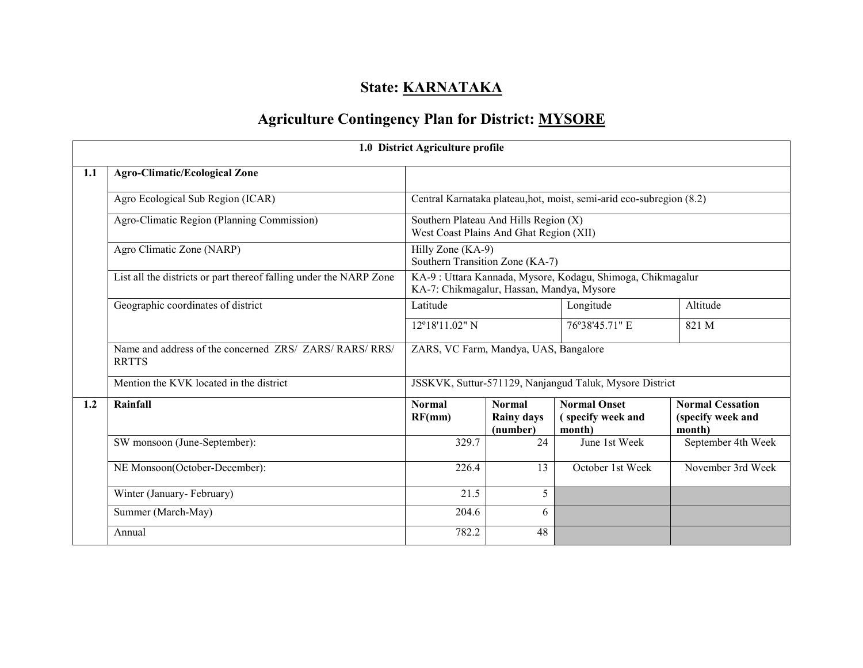## State: **KARNATAKA**

# Agriculture Contingency Plan for District: MYSORE

|     |                                                                         | 1.0 District Agriculture profile                                                 |                                                |                                                                      |                                                        |
|-----|-------------------------------------------------------------------------|----------------------------------------------------------------------------------|------------------------------------------------|----------------------------------------------------------------------|--------------------------------------------------------|
| 1.1 | <b>Agro-Climatic/Ecological Zone</b>                                    |                                                                                  |                                                |                                                                      |                                                        |
|     | Agro Ecological Sub Region (ICAR)                                       |                                                                                  |                                                | Central Karnataka plateau, hot, moist, semi-arid eco-subregion (8.2) |                                                        |
|     | Agro-Climatic Region (Planning Commission)                              | Southern Plateau And Hills Region (X)<br>West Coast Plains And Ghat Region (XII) |                                                |                                                                      |                                                        |
|     | Agro Climatic Zone (NARP)                                               | Hilly Zone (KA-9)<br>Southern Transition Zone (KA-7)                             |                                                |                                                                      |                                                        |
|     | List all the districts or part thereof falling under the NARP Zone      | KA-7: Chikmagalur, Hassan, Mandya, Mysore                                        |                                                | KA-9 : Uttara Kannada, Mysore, Kodagu, Shimoga, Chikmagalur          |                                                        |
|     | Geographic coordinates of district                                      | Latitude                                                                         |                                                | Longitude                                                            | Altitude                                               |
|     |                                                                         | 12°18'11.02" N                                                                   |                                                | 76°38'45.71" E                                                       | 821 M                                                  |
|     | Name and address of the concerned ZRS/ ZARS/ RARS/ RRS/<br><b>RRTTS</b> | ZARS, VC Farm, Mandya, UAS, Bangalore                                            |                                                |                                                                      |                                                        |
|     | Mention the KVK located in the district                                 |                                                                                  |                                                | JSSKVK, Suttur-571129, Nanjangud Taluk, Mysore District              |                                                        |
| 1.2 | Rainfall                                                                | <b>Normal</b><br>RF(mm)                                                          | <b>Normal</b><br><b>Rainy days</b><br>(number) | <b>Normal Onset</b><br>(specify week and<br>month)                   | <b>Normal Cessation</b><br>(specify week and<br>month) |
|     | SW monsoon (June-September):                                            | 329.7                                                                            | 24                                             | June 1st Week                                                        | September 4th Week                                     |
|     | NE Monsoon(October-December):                                           | 226.4                                                                            | 13                                             | October 1st Week                                                     | November 3rd Week                                      |
|     | Winter (January-February)                                               | 21.5                                                                             | 5                                              |                                                                      |                                                        |
|     | Summer (March-May)                                                      | 204.6                                                                            | 6                                              |                                                                      |                                                        |
|     | Annual                                                                  | 782.2                                                                            | 48                                             |                                                                      |                                                        |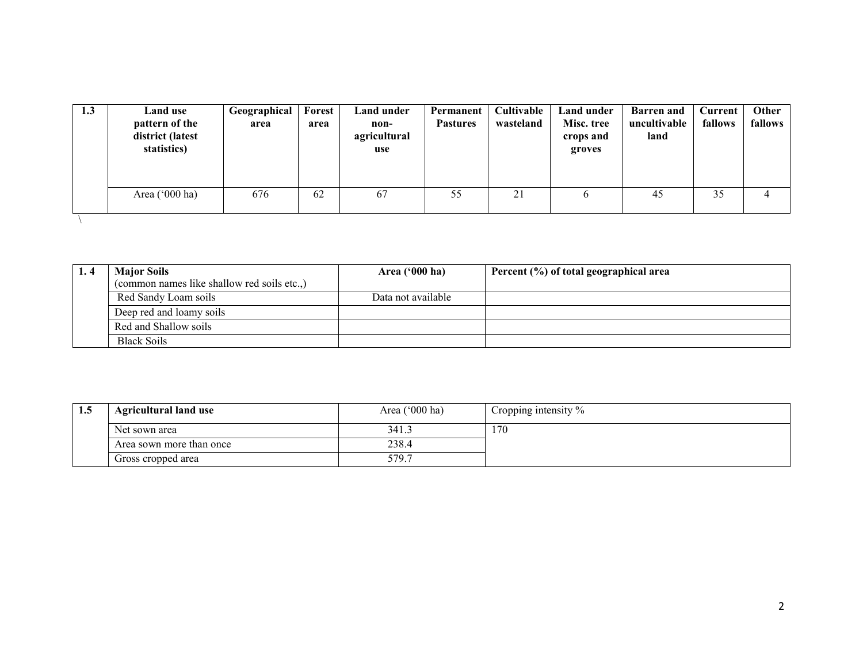| 1.3 | Land use<br>pattern of the<br>district (latest<br>statistics) | Geographical<br>area | Forest<br>area | Land under<br>non-<br>agricultural<br>use | Permanent<br><b>Pastures</b> | Cultivable<br>wasteland | Land under<br>Misc. tree<br>crops and<br>groves | <b>Barren</b> and<br>uncultivable<br>land | Current<br>fallows | Other<br>fallows |
|-----|---------------------------------------------------------------|----------------------|----------------|-------------------------------------------|------------------------------|-------------------------|-------------------------------------------------|-------------------------------------------|--------------------|------------------|
|     | Area $('000 ha)$                                              | 676                  | 62             | 67                                        | 55                           | 21                      |                                                 | 45                                        | 35                 |                  |
|     |                                                               |                      |                |                                           |                              |                         |                                                 |                                           |                    |                  |

| <b>Maior Soils</b>                        | Area $('000 ha)$   | Percent (%) of total geographical area |
|-------------------------------------------|--------------------|----------------------------------------|
| (common names like shallow red soils etc) |                    |                                        |
| Red Sandy Loam soils                      | Data not available |                                        |
| Deep red and loamy soils                  |                    |                                        |
| Red and Shallow soils                     |                    |                                        |
| <b>Black Soils</b>                        |                    |                                        |

| 1.5 | <b>Agricultural land use</b> | Area ('000 ha) | Cropping intensity % |
|-----|------------------------------|----------------|----------------------|
|     | Net sown area                | 341.3          | 170                  |
|     | Area sown more than once     | 238.4          |                      |
|     | Gross cropped area           | 579.7          |                      |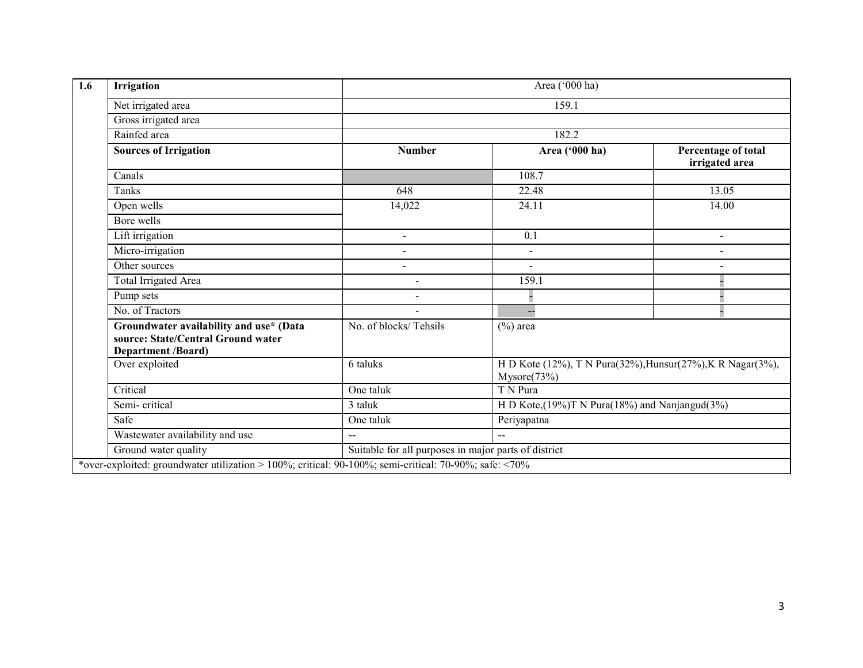| <b>Irrigation</b>                                                                                          |                                                      | Area ('000 ha)                                                            |                                       |  |  |  |
|------------------------------------------------------------------------------------------------------------|------------------------------------------------------|---------------------------------------------------------------------------|---------------------------------------|--|--|--|
| Net irrigated area                                                                                         |                                                      | 159.1                                                                     |                                       |  |  |  |
| Gross irrigated area                                                                                       |                                                      |                                                                           |                                       |  |  |  |
| Rainfed area                                                                                               | 182.2                                                |                                                                           |                                       |  |  |  |
| <b>Sources of Irrigation</b>                                                                               | <b>Number</b>                                        | Area ('000 ha)                                                            | Percentage of total<br>irrigated area |  |  |  |
| Canals                                                                                                     |                                                      | 108.7                                                                     |                                       |  |  |  |
| Tanks                                                                                                      | 648                                                  | 22.48                                                                     | 13.05                                 |  |  |  |
| Open wells                                                                                                 | 14,022                                               | 24.11                                                                     | 14.00                                 |  |  |  |
| Bore wells                                                                                                 |                                                      |                                                                           |                                       |  |  |  |
| Lift irrigation                                                                                            | $\blacksquare$                                       | 0.1                                                                       | $\blacksquare$                        |  |  |  |
| Micro-irrigation                                                                                           | $\overline{\phantom{a}}$                             |                                                                           |                                       |  |  |  |
| Other sources                                                                                              |                                                      |                                                                           |                                       |  |  |  |
| <b>Total Irrigated Area</b>                                                                                | $\overline{a}$                                       | 159.1                                                                     |                                       |  |  |  |
| Pump sets                                                                                                  |                                                      |                                                                           |                                       |  |  |  |
| No. of Tractors                                                                                            | $\blacksquare$                                       |                                                                           |                                       |  |  |  |
| Groundwater availability and use* (Data<br>source: State/Central Ground water<br><b>Department /Board)</b> | No. of blocks/Tehsils                                | $(\%)$ area                                                               |                                       |  |  |  |
| Over exploited                                                                                             | 6 taluks                                             | H D Kote (12%), T N Pura(32%), Hunsur(27%), K R Nagar(3%),<br>Mysore(73%) |                                       |  |  |  |
| Critical                                                                                                   | One taluk                                            | T N Pura                                                                  |                                       |  |  |  |
| Semi-critical                                                                                              | 3 taluk                                              | H D Kote, $(19\%)$ T N Pura $(18\%)$ and Nanjangud $(3\%)$                |                                       |  |  |  |
| Safe                                                                                                       | One taluk                                            | Periyapatna                                                               |                                       |  |  |  |
| Wastewater availability and use                                                                            | $\sim$                                               | $\sim$ $\sim$                                                             |                                       |  |  |  |
| Ground water quality                                                                                       | Suitable for all purposes in major parts of district |                                                                           |                                       |  |  |  |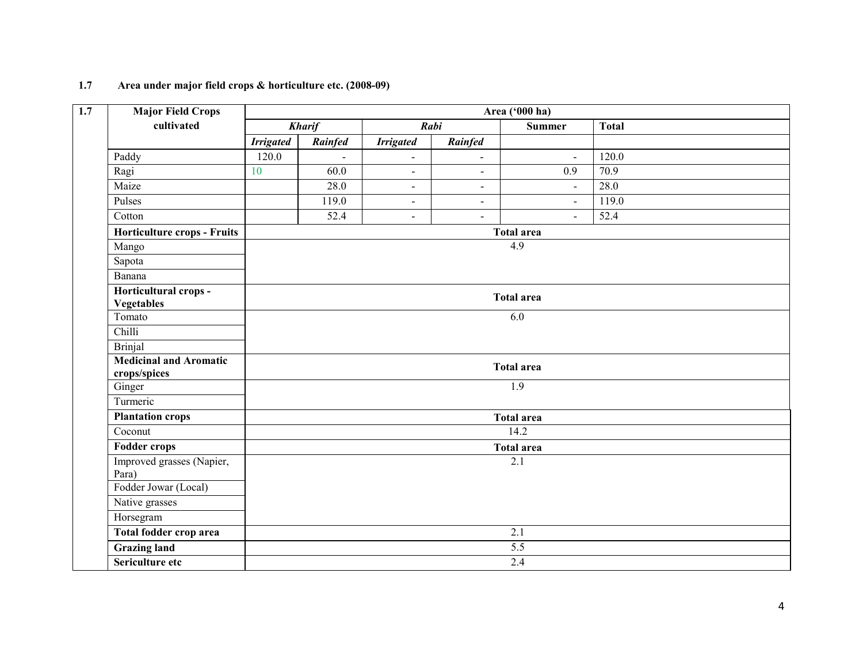#### 1.7 Area under major field crops & horticulture etc. (2008-09)

| <b>Major Field Crops</b>                      |                   |               |                  |                | Area ('000 ha)    |                   |  |
|-----------------------------------------------|-------------------|---------------|------------------|----------------|-------------------|-------------------|--|
| cultivated                                    |                   | <b>Kharif</b> | Rabi             |                | <b>Summer</b>     | <b>Total</b>      |  |
|                                               | <b>Irrigated</b>  | Rainfed       | <b>Irrigated</b> | Rainfed        |                   |                   |  |
| Paddy                                         | 120.0             | $\mathbf{r}$  | $\blacksquare$   | $\blacksquare$ | $\blacksquare$    | 120.0             |  |
| Ragi                                          | 10                | 60.0          | $\blacksquare$   | $\blacksquare$ | 0.9               | $\overline{70.9}$ |  |
| Maize                                         |                   | 28.0          | $\sim$           | $\blacksquare$ | $\blacksquare$    | 28.0              |  |
| Pulses                                        |                   | 119.0         | $\blacksquare$   | $\blacksquare$ | $\omega$          | 119.0             |  |
| Cotton                                        |                   | 52.4          | $\overline{a}$   | $\blacksquare$ | $\blacksquare$    | 52.4              |  |
| Horticulture crops - Fruits                   |                   |               |                  |                | <b>Total area</b> |                   |  |
| Mango                                         |                   |               |                  |                | $\overline{4.9}$  |                   |  |
| Sapota                                        |                   |               |                  |                |                   |                   |  |
| Banana                                        |                   |               |                  |                |                   |                   |  |
| Horticultural crops -<br><b>Vegetables</b>    | <b>Total area</b> |               |                  |                |                   |                   |  |
| Tomato                                        | 6.0               |               |                  |                |                   |                   |  |
| Chilli                                        |                   |               |                  |                |                   |                   |  |
| <b>Brinjal</b>                                |                   |               |                  |                |                   |                   |  |
| <b>Medicinal and Aromatic</b><br>crops/spices |                   |               |                  |                | <b>Total area</b> |                   |  |
| Ginger                                        |                   |               |                  |                | $\overline{1.9}$  |                   |  |
| Turmeric                                      |                   |               |                  |                |                   |                   |  |
| <b>Plantation crops</b>                       |                   |               |                  |                | <b>Total area</b> |                   |  |
| $\overline{\text{C}$ oconut                   |                   |               |                  |                | 14.2              |                   |  |
| <b>Fodder crops</b>                           |                   |               |                  |                | <b>Total area</b> |                   |  |
| Improved grasses (Napier,<br>Para)            |                   |               |                  |                | 2.1               |                   |  |
| Fodder Jowar (Local)                          |                   |               |                  |                |                   |                   |  |
| Native grasses                                |                   |               |                  |                |                   |                   |  |
| Horsegram                                     |                   |               |                  |                |                   |                   |  |
| Total fodder crop area                        |                   |               |                  |                | $\overline{2.1}$  |                   |  |
| <b>Grazing land</b>                           |                   |               |                  |                | 5.5               |                   |  |
| Sericulture etc                               |                   |               |                  |                | 2.4               |                   |  |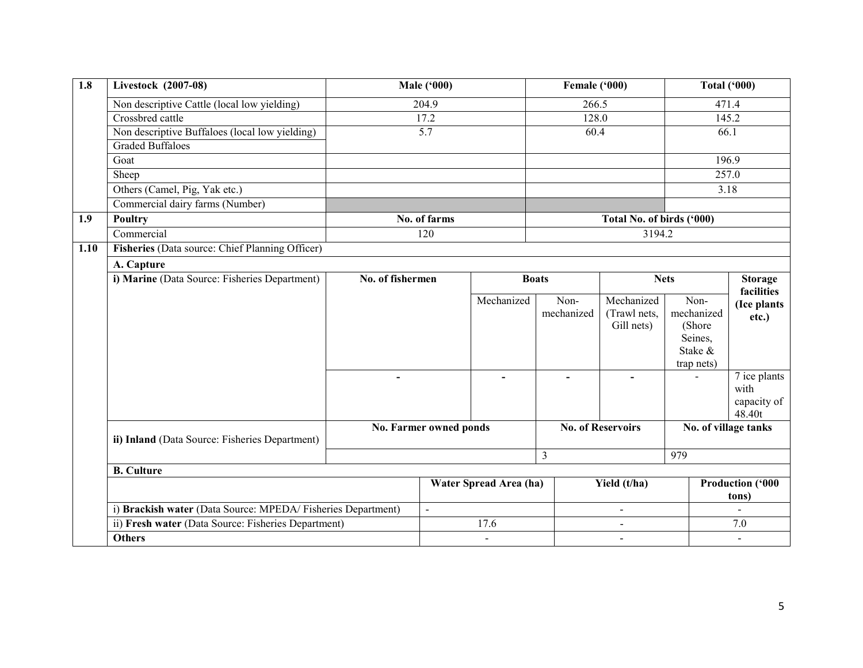| $\overline{1.8}$ | Livestock (2007-08)                                                                                                |  | <b>Male ('000)</b>               |                        | Female ('000)      |                           |                               | <b>Total ('000)</b>     |
|------------------|--------------------------------------------------------------------------------------------------------------------|--|----------------------------------|------------------------|--------------------|---------------------------|-------------------------------|-------------------------|
|                  | Non descriptive Cattle (local low yielding)                                                                        |  | 204.9                            |                        | 266.5              |                           |                               | 471.4                   |
|                  | Crossbred cattle                                                                                                   |  | 17.2                             |                        | 128.0              |                           | 145.2                         |                         |
|                  | Non descriptive Buffaloes (local low yielding)                                                                     |  | 5.7                              |                        | 60.4               |                           |                               | 66.1                    |
|                  | <b>Graded Buffaloes</b>                                                                                            |  |                                  |                        |                    |                           |                               |                         |
|                  | Goat                                                                                                               |  |                                  |                        |                    |                           |                               | 196.9                   |
|                  | Sheep                                                                                                              |  |                                  |                        |                    |                           |                               | 257.0                   |
|                  | Others (Camel, Pig, Yak etc.)                                                                                      |  |                                  |                        |                    |                           |                               | 3.18                    |
|                  | Commercial dairy farms (Number)                                                                                    |  |                                  |                        |                    |                           |                               |                         |
| 1.9              | <b>Poultry</b>                                                                                                     |  | No. of farms                     |                        |                    | Total No. of birds ('000) |                               |                         |
|                  | Commercial                                                                                                         |  | 120                              |                        |                    | 3194.2                    |                               |                         |
| 1.10             | Fisheries (Data source: Chief Planning Officer)                                                                    |  |                                  |                        |                    |                           |                               |                         |
|                  | A. Capture                                                                                                         |  |                                  |                        |                    |                           |                               |                         |
|                  | i) Marine (Data Source: Fisheries Department)                                                                      |  | No. of fishermen<br><b>Boats</b> |                        |                    |                           | <b>Nets</b><br><b>Storage</b> |                         |
|                  |                                                                                                                    |  |                                  | Mechanized             |                    | Mechanized                | Non-                          | facilities              |
|                  |                                                                                                                    |  |                                  |                        | Non-<br>mechanized | (Trawl nets,              | mechanized                    | (Ice plants             |
|                  |                                                                                                                    |  |                                  |                        |                    | Gill nets)                | (Shore)                       | etc.)                   |
|                  |                                                                                                                    |  |                                  |                        |                    |                           | Seines,                       |                         |
|                  |                                                                                                                    |  |                                  |                        |                    |                           | Stake &                       |                         |
|                  |                                                                                                                    |  |                                  |                        |                    |                           | trap nets)                    |                         |
|                  |                                                                                                                    |  |                                  |                        |                    |                           |                               | 7 ice plants            |
|                  |                                                                                                                    |  |                                  |                        |                    |                           |                               | with<br>capacity of     |
|                  |                                                                                                                    |  |                                  |                        |                    |                           |                               | 48.40t                  |
|                  |                                                                                                                    |  | No. Farmer owned ponds           |                        |                    | <b>No. of Reservoirs</b>  | No. of village tanks          |                         |
|                  | ii) Inland (Data Source: Fisheries Department)                                                                     |  |                                  |                        |                    |                           |                               |                         |
|                  |                                                                                                                    |  |                                  |                        | $\overline{3}$     |                           | 979                           |                         |
|                  | <b>B.</b> Culture                                                                                                  |  |                                  |                        |                    |                           |                               |                         |
|                  |                                                                                                                    |  |                                  | Water Spread Area (ha) |                    | Yield (t/ha)              |                               | <b>Production ('000</b> |
|                  |                                                                                                                    |  |                                  |                        |                    |                           |                               | tons)                   |
|                  |                                                                                                                    |  | $\overline{a}$                   |                        |                    | $\blacksquare$            |                               |                         |
|                  | i) Brackish water (Data Source: MPEDA/Fisheries Department)<br>ii) Fresh water (Data Source: Fisheries Department) |  | 17.6                             |                        |                    |                           |                               | 7.0                     |
|                  | <b>Others</b>                                                                                                      |  |                                  |                        |                    |                           |                               |                         |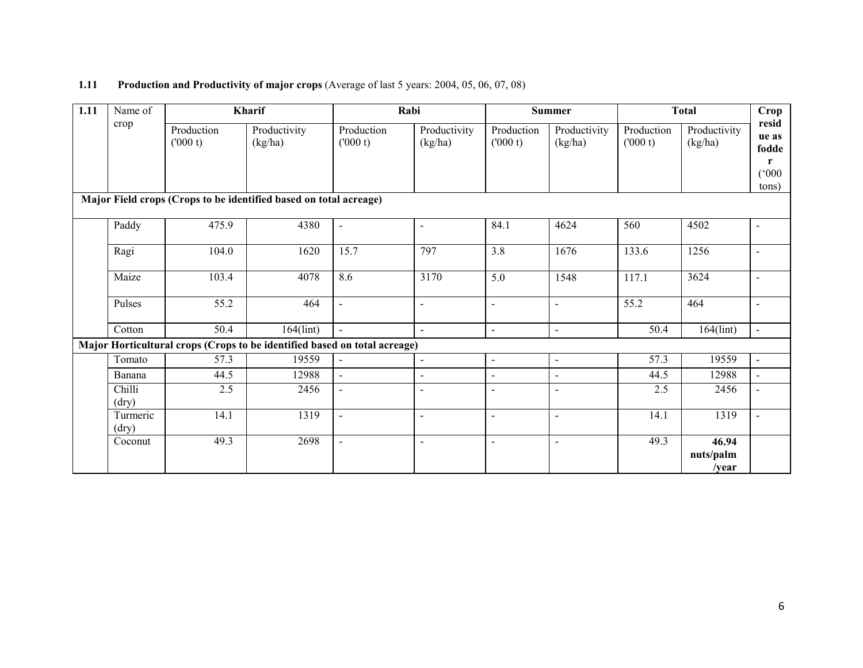#### **1.11** Production and Productivity of major crops (Average of last 5 years: 2004, 05, 06, 07, 08)

| 1.11 | Name of           |                       | Kharif                                                                    |                          | Rabi                     |                          | <b>Summer</b>           |                       | <b>Total</b>                        | Crop                                    |
|------|-------------------|-----------------------|---------------------------------------------------------------------------|--------------------------|--------------------------|--------------------------|-------------------------|-----------------------|-------------------------------------|-----------------------------------------|
|      | crop              | Production<br>(000 t) | Productivity<br>(kg/ha)                                                   | Production<br>(000 t)    | Productivity<br>(kg/ha)  | Production<br>(000 t)    | Productivity<br>(kg/ha) | Production<br>(000 t) | Productivity<br>(kg/ha)             | resid<br>ue as<br>fodde<br>$\mathbf{r}$ |
|      |                   |                       |                                                                           |                          |                          |                          |                         |                       |                                     | (000)<br>tons)                          |
|      |                   |                       | Major Field crops (Crops to be identified based on total acreage)         |                          |                          |                          |                         |                       |                                     |                                         |
|      | Paddy             | 475.9                 | 4380                                                                      | $\blacksquare$           | $\blacksquare$           | 84.1                     | 4624                    | 560                   | 4502                                | $\overline{a}$                          |
|      | Ragi              | 104.0                 | 1620                                                                      | 15.7                     | 797                      | 3.8                      | 1676                    | 133.6                 | 1256                                | $\blacksquare$                          |
|      | Maize             | 103.4                 | 4078                                                                      | 8.6                      | 3170                     | 5.0                      | 1548                    | 117.1                 | 3624                                | $\overline{\phantom{a}}$                |
|      | Pulses            | $\overline{55.2}$     | 464                                                                       | $\overline{\phantom{0}}$ | $\overline{\phantom{a}}$ | $\blacksquare$           | $\blacksquare$          | 55.2                  | 464                                 |                                         |
|      | Cotton            | 50.4                  | $164$ (lint)                                                              | $\blacksquare$           | $\blacksquare$           | $\blacksquare$           | $\overline{a}$          | 50.4                  | $164$ (lint)                        | $\mathbb{L}^2$                          |
|      |                   |                       | Major Horticultural crops (Crops to be identified based on total acreage) |                          |                          |                          |                         |                       |                                     |                                         |
|      | Tomato            | 57.3                  | 19559                                                                     | $\blacksquare$           | $\blacksquare$           | $\sim$                   | $\blacksquare$          | 57.3                  | 19559                               | $\blacksquare$                          |
|      | Banana            | 44.5                  | 12988                                                                     | $\blacksquare$           | $\blacksquare$           | $\sim$                   | $\blacksquare$          | 44.5                  | 12988                               |                                         |
|      | Chilli<br>(dry)   | 2.5                   | 2456                                                                      | ÷                        | $\blacksquare$           | $\overline{\phantom{a}}$ | $\blacksquare$          | 2.5                   | 2456                                | ÷,                                      |
|      | Turmeric<br>(dry) | 14.1                  | 1319                                                                      | $\blacksquare$           | $\blacksquare$           | $\blacksquare$           | $\blacksquare$          | 14.1                  | 1319                                | $\blacksquare$                          |
|      | Coconut           | 49.3                  | 2698                                                                      | $\blacksquare$           | $\blacksquare$           | $\blacksquare$           | $\overline{a}$          | 49.3                  | 46.94<br>nuts/palm<br>$\sqrt{year}$ |                                         |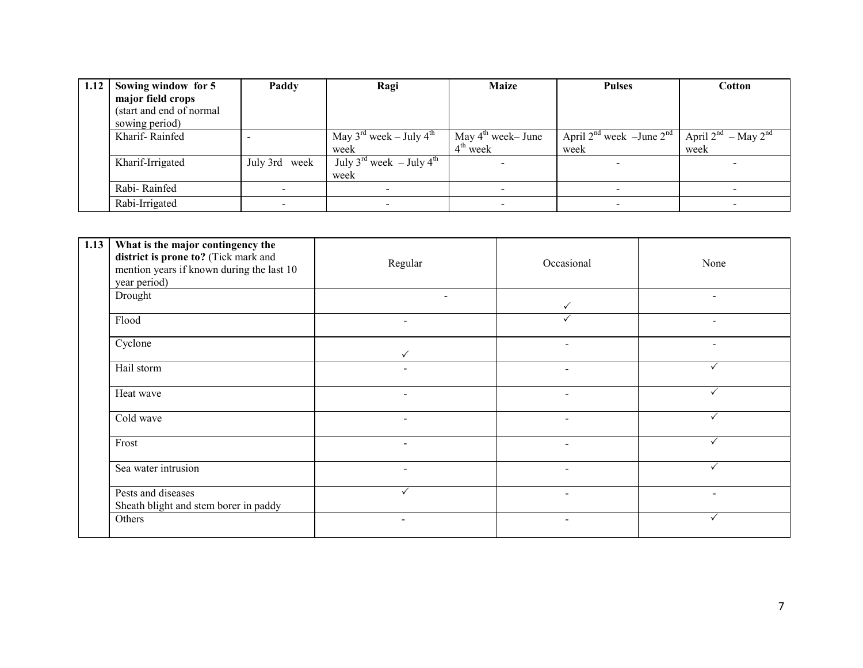| 1.12 | Sowing window for 5      | Paddy            | Ragi                                             | <b>Maize</b>                  | <b>Pulses</b>                      | Cotton                        |
|------|--------------------------|------------------|--------------------------------------------------|-------------------------------|------------------------------------|-------------------------------|
|      | major field crops        |                  |                                                  |                               |                                    |                               |
|      | (start and end of normal |                  |                                                  |                               |                                    |                               |
|      | sowing period)           |                  |                                                  |                               |                                    |                               |
|      | Kharif-Rainfed           |                  | May $3^{\text{rd}}$ week – July $4^{\text{th}}$  | May $4^{\text{th}}$ week-June | April $2^{nd}$ week -June $2^{nd}$ | April $2^{nd}$ – May $2^{nd}$ |
|      |                          |                  | week                                             | $4th$ week                    | week                               | week                          |
|      | Kharif-Irrigated         | July 3rd<br>week | July 3 <sup>rd</sup> week - July 4 <sup>th</sup> |                               |                                    |                               |
|      |                          |                  | week                                             |                               |                                    |                               |
|      | Rabi-Rainfed             |                  | $\overline{\phantom{0}}$                         |                               |                                    |                               |
|      | Rabi-Irrigated           |                  |                                                  |                               |                                    |                               |

| 1.13 | What is the major contingency the<br>district is prone to? (Tick mark and<br>mention years if known during the last 10<br>year period) | Regular                  | Occasional               | None                     |
|------|----------------------------------------------------------------------------------------------------------------------------------------|--------------------------|--------------------------|--------------------------|
|      | Drought                                                                                                                                | $\blacksquare$           | ✓                        | $\blacksquare$           |
|      | Flood                                                                                                                                  | $\overline{\phantom{0}}$ |                          | $\overline{\phantom{a}}$ |
|      | Cyclone                                                                                                                                | $\checkmark$             | $\sim$                   | $\blacksquare$           |
|      | Hail storm                                                                                                                             | $\overline{\phantom{a}}$ | $\sim$                   |                          |
|      | Heat wave                                                                                                                              | $\overline{\phantom{a}}$ | $\overline{\phantom{a}}$ | ✓                        |
|      | Cold wave                                                                                                                              | $\overline{\phantom{0}}$ | $\overline{\phantom{0}}$ | $\checkmark$             |
|      | Frost                                                                                                                                  | $\overline{\phantom{a}}$ | $\blacksquare$           | ✓                        |
|      | Sea water intrusion                                                                                                                    | $\blacksquare$           | $\blacksquare$           |                          |
|      | Pests and diseases<br>Sheath blight and stem borer in paddy                                                                            | $\checkmark$             | $\overline{\phantom{a}}$ | $\blacksquare$           |
|      | Others                                                                                                                                 | $\overline{\phantom{a}}$ | $\overline{\phantom{a}}$ |                          |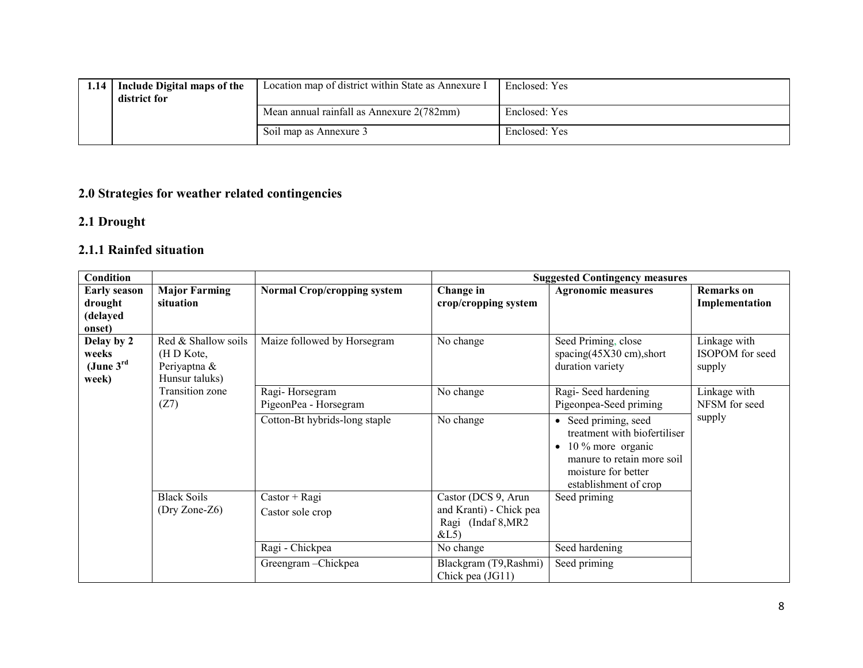| 1.14 | Include Digital maps of the<br>district for | Location map of district within State as Annexure I | Enclosed: Yes |
|------|---------------------------------------------|-----------------------------------------------------|---------------|
|      |                                             | Mean annual rainfall as Annexure 2(782mm)           | Enclosed: Yes |
|      |                                             | Soil map as Annexure 3                              | Enclosed: Yes |

### 2.0 Strategies for weather related contingencies

#### 2.1 Drought

### 2.1.1 Rainfed situation

| Condition                                                |                                                                     |                                         |                                                                              | <b>Suggested Contingency measures</b>                                                                                                                                |                                           |
|----------------------------------------------------------|---------------------------------------------------------------------|-----------------------------------------|------------------------------------------------------------------------------|----------------------------------------------------------------------------------------------------------------------------------------------------------------------|-------------------------------------------|
| <b>Early season</b>                                      | <b>Major Farming</b>                                                | <b>Normal Crop/cropping system</b>      | Change in                                                                    | <b>Agronomic measures</b>                                                                                                                                            | <b>Remarks</b> on                         |
| drought                                                  | situation                                                           |                                         | crop/cropping system                                                         |                                                                                                                                                                      | Implementation                            |
| (delayed                                                 |                                                                     |                                         |                                                                              |                                                                                                                                                                      |                                           |
| onset)<br>Delay by 2<br>weeks<br>(June $3^{rd}$<br>week) | Red & Shallow soils<br>(H D Kote,<br>Periyaptna &<br>Hunsur taluks) | Maize followed by Horsegram             | No change                                                                    | Seed Priming, close<br>spacing(45X30 cm), short<br>duration variety                                                                                                  | Linkage with<br>ISOPOM for seed<br>supply |
|                                                          | <b>Transition zone</b><br>(Z7)                                      | Ragi-Horsegram<br>PigeonPea - Horsegram | No change                                                                    | Ragi-Seed hardening<br>Pigeonpea-Seed priming                                                                                                                        | Linkage with<br>NFSM for seed             |
|                                                          |                                                                     | Cotton-Bt hybrids-long staple           | No change                                                                    | • Seed priming, seed<br>treatment with biofertiliser<br>10 % more organic<br>$\bullet$<br>manure to retain more soil<br>moisture for better<br>establishment of crop | supply                                    |
|                                                          | <b>Black Soils</b><br>(Dry Zone-Z6)                                 | $Castor + Ragi$<br>Castor sole crop     | Castor (DCS 9, Arun<br>and Kranti) - Chick pea<br>Ragi (Indaf 8, MR2<br>&L5) | Seed priming                                                                                                                                                         |                                           |
|                                                          |                                                                     | Ragi - Chickpea                         | No change                                                                    | Seed hardening                                                                                                                                                       |                                           |
|                                                          |                                                                     | Greengram-Chickpea                      | Blackgram (T9, Rashmi)<br>Chick pea (JG11)                                   | Seed priming                                                                                                                                                         |                                           |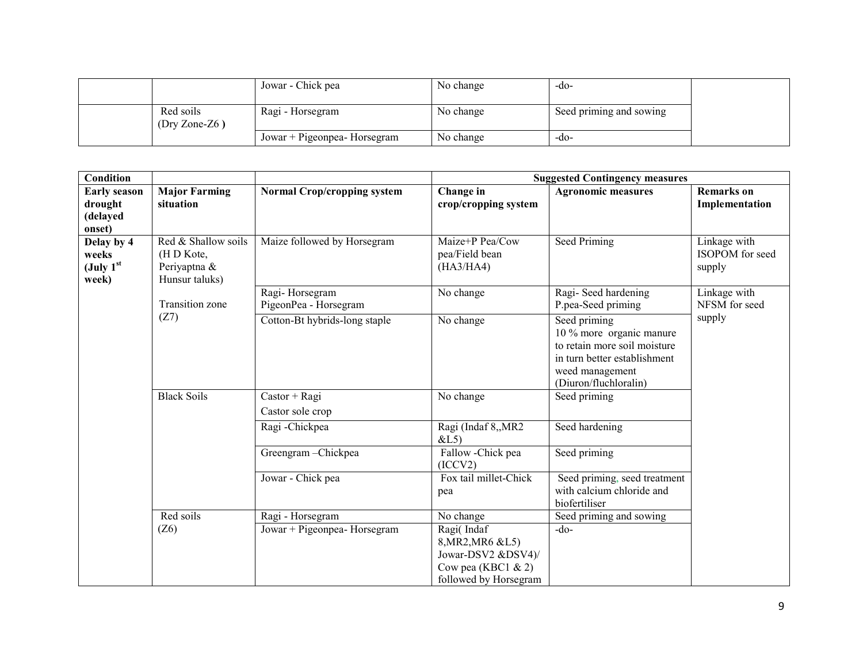|                              | Jowar - Chick pea            | No change | $-dO$                   |  |
|------------------------------|------------------------------|-----------|-------------------------|--|
| Red soils<br>$(Dry Zone-Z6)$ | Ragi - Horsegram             | No change | Seed priming and sowing |  |
|                              | Jowar + Pigeonpea- Horsegram | No change | -do-                    |  |

| <b>Condition</b>                                     |                                                                     |                                                  | <b>Suggested Contingency measures</b>                                                                                 |                                                                                                                                                      |                                           |
|------------------------------------------------------|---------------------------------------------------------------------|--------------------------------------------------|-----------------------------------------------------------------------------------------------------------------------|------------------------------------------------------------------------------------------------------------------------------------------------------|-------------------------------------------|
| <b>Early season</b><br>drought<br>(delayed<br>onset) | <b>Major Farming</b><br>situation                                   | <b>Normal Crop/cropping system</b>               | Change in<br>crop/cropping system                                                                                     | <b>Agronomic measures</b>                                                                                                                            | <b>Remarks</b> on<br>Implementation       |
| Delay by 4<br>weeks<br>(July $1st$<br>week)          | Red & Shallow soils<br>(H D Kote,<br>Periyaptna &<br>Hunsur taluks) | Maize followed by Horsegram                      | Maize+P Pea/Cow<br>pea/Field bean<br>(HA3/HA4)                                                                        | Seed Priming                                                                                                                                         | Linkage with<br>ISOPOM for seed<br>supply |
|                                                      | Transition zone                                                     | Ragi-Horsegram<br>PigeonPea - Horsegram          | No change                                                                                                             | Ragi-Seed hardening<br>P.pea-Seed priming                                                                                                            | Linkage with<br>NFSM for seed             |
|                                                      | (Z7)                                                                | Cotton-Bt hybrids-long staple                    | No change                                                                                                             | Seed priming<br>10 % more organic manure<br>to retain more soil moisture<br>in turn better establishment<br>weed management<br>(Diuron/fluchloralin) | supply                                    |
|                                                      | <b>Black Soils</b>                                                  | $Castor + Ragi$<br>Castor sole crop              | No change                                                                                                             | Seed priming                                                                                                                                         |                                           |
|                                                      |                                                                     | Ragi-Chickpea                                    | Ragi (Indaf 8,, MR2<br>&L5)                                                                                           | Seed hardening                                                                                                                                       |                                           |
|                                                      |                                                                     | Greengram-Chickpea                               | Fallow -Chick pea<br>(ICCV2)                                                                                          | Seed priming                                                                                                                                         |                                           |
|                                                      |                                                                     | Jowar - Chick pea                                | Fox tail millet-Chick<br>pea                                                                                          | Seed priming, seed treatment<br>with calcium chloride and<br>biofertiliser                                                                           |                                           |
|                                                      | Red soils<br>(Z6)                                                   | Ragi - Horsegram<br>Jowar + Pigeonpea- Horsegram | No change<br>Ragi(Indaf<br>8, MR2, MR6 & L5)<br>Jowar-DSV2 &DSV4)/<br>Cow pea (KBC1 $\& 2$ )<br>followed by Horsegram | Seed priming and sowing<br>$-do$                                                                                                                     |                                           |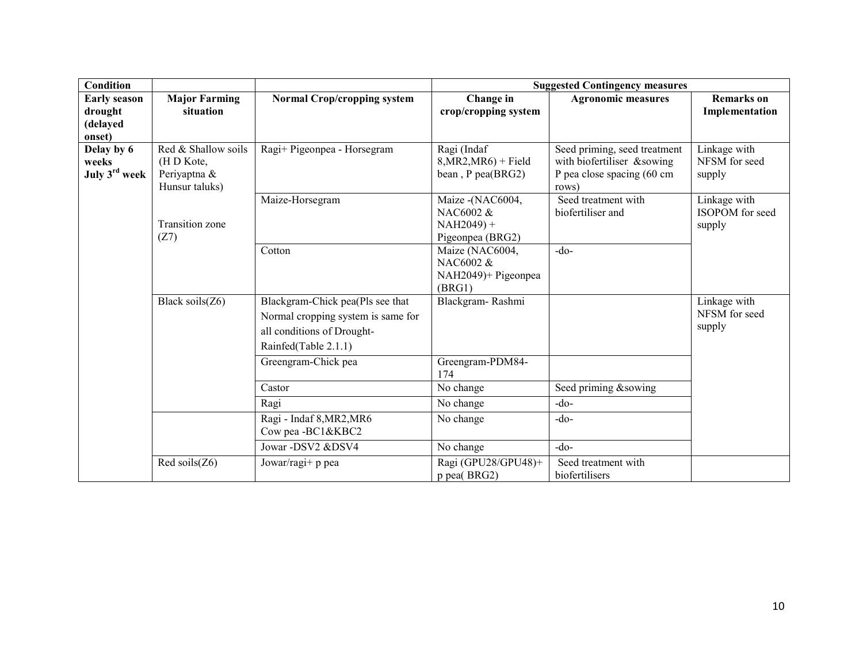| <b>Condition</b>                     |                                                                    |                                                                                                                              |                                                                   | <b>Suggested Contingency measures</b>                                                             |                                           |
|--------------------------------------|--------------------------------------------------------------------|------------------------------------------------------------------------------------------------------------------------------|-------------------------------------------------------------------|---------------------------------------------------------------------------------------------------|-------------------------------------------|
| <b>Early season</b>                  | <b>Major Farming</b>                                               | <b>Normal Crop/cropping system</b>                                                                                           | Change in                                                         | <b>Agronomic measures</b>                                                                         | <b>Remarks</b> on                         |
| drought<br>(delayed                  | situation                                                          |                                                                                                                              | crop/cropping system                                              |                                                                                                   | Implementation                            |
| onset)                               |                                                                    |                                                                                                                              |                                                                   |                                                                                                   |                                           |
| Delay by 6<br>weeks<br>July 3rd week | Red & Shallow soils<br>(HD Kote,<br>Periyaptna &<br>Hunsur taluks) | Ragi+ Pigeonpea - Horsegram                                                                                                  | Ragi (Indaf<br>$8, MR2, MR6$ + Field<br>bean, P pea(BRG2)         | Seed priming, seed treatment<br>with biofertiliser &sowing<br>P pea close spacing (60 cm<br>rows) | Linkage with<br>NFSM for seed<br>supply   |
|                                      | <b>Transition zone</b><br>(Z7)                                     | Maize-Horsegram                                                                                                              | Maize - (NAC6004,<br>NAC6002 &<br>$NAH2049$ +<br>Pigeonpea (BRG2) | Seed treatment with<br>biofertiliser and                                                          | Linkage with<br>ISOPOM for seed<br>supply |
|                                      |                                                                    | Cotton                                                                                                                       | Maize (NAC6004,<br>NAC6002 &<br>NAH2049)+ Pigeonpea<br>(BRG1)     | $-do-$                                                                                            |                                           |
|                                      | Black soils(Z6)                                                    | Blackgram-Chick pea(Pls see that<br>Normal cropping system is same for<br>all conditions of Drought-<br>Rainfed(Table 2.1.1) | Blackgram-Rashmi                                                  |                                                                                                   | Linkage with<br>NFSM for seed<br>supply   |
|                                      |                                                                    | Greengram-Chick pea                                                                                                          | Greengram-PDM84-<br>174                                           |                                                                                                   |                                           |
|                                      |                                                                    | Castor                                                                                                                       | No change                                                         | Seed priming &sowing                                                                              |                                           |
|                                      |                                                                    | Ragi                                                                                                                         | No change                                                         | $-do$                                                                                             |                                           |
|                                      |                                                                    | Ragi - Indaf 8, MR2, MR6<br>Cow pea -BC1&KBC2                                                                                | No change                                                         | $-do$                                                                                             |                                           |
|                                      |                                                                    | Jowar -DSV2 &DSV4                                                                                                            | No change                                                         | $-do-$                                                                                            |                                           |
|                                      | Red soils $(Z6)$                                                   | Jowar/ragi+ p pea                                                                                                            | Ragi (GPU28/GPU48)+<br>p pea(BRG2)                                | Seed treatment with<br>biofertilisers                                                             |                                           |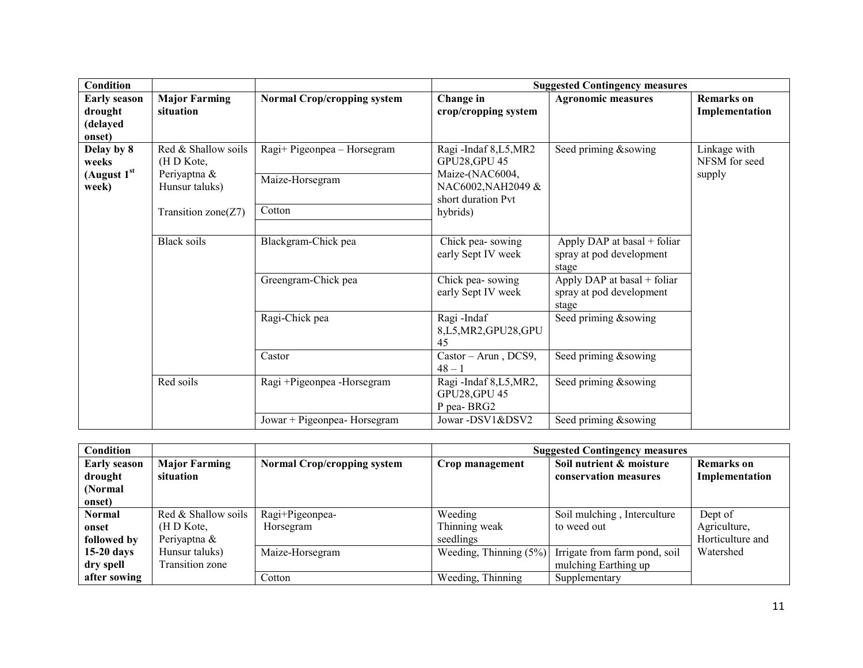| Condition                                            |                                                                                              |                                                          |                                                                                                                        | <b>Suggested Contingency measures</b>                            |                                         |
|------------------------------------------------------|----------------------------------------------------------------------------------------------|----------------------------------------------------------|------------------------------------------------------------------------------------------------------------------------|------------------------------------------------------------------|-----------------------------------------|
| <b>Early season</b><br>drought<br>(delayed<br>onset) | <b>Major Farming</b><br>situation                                                            | <b>Normal Crop/cropping system</b>                       | Change in<br>crop/cropping system                                                                                      | <b>Agronomic measures</b>                                        | <b>Remarks</b> on<br>Implementation     |
| Delay by 8<br>weeks<br>(August $1st$<br>week)        | Red & Shallow soils<br>(H D Kote,<br>Periyaptna &<br>Hunsur taluks)<br>Transition $zone(Z7)$ | Ragi+ Pigeonpea - Horsegram<br>Maize-Horsegram<br>Cotton | Ragi-Indaf 8,L5,MR2<br><b>GPU28, GPU 45</b><br>Maize-(NAC6004,<br>NAC6002, NAH2049 &<br>short duration Pvt<br>hybrids) | Seed priming &sowing                                             | Linkage with<br>NFSM for seed<br>supply |
|                                                      | <b>Black soils</b>                                                                           | Blackgram-Chick pea                                      | Chick pea-sowing<br>early Sept IV week                                                                                 | Apply DAP at basal + foliar<br>spray at pod development<br>stage |                                         |
|                                                      |                                                                                              | Greengram-Chick pea                                      | Chick pea-sowing<br>early Sept IV week                                                                                 | Apply DAP at basal + foliar<br>spray at pod development<br>stage |                                         |
|                                                      |                                                                                              | Ragi-Chick pea                                           | Ragi-Indaf<br>8,L5,MR2,GPU28,GPU<br>45                                                                                 | Seed priming &sowing                                             |                                         |
|                                                      |                                                                                              | Castor                                                   | Castor - Arun, DCS9,<br>$48 - 1$                                                                                       | Seed priming &sowing                                             |                                         |
|                                                      | Red soils                                                                                    | Ragi +Pigeonpea -Horsegram                               | Ragi-Indaf 8,L5,MR2,<br><b>GPU28, GPU 45</b><br>P pea-BRG2                                                             | Seed priming &sowing                                             |                                         |
|                                                      |                                                                                              | Jowar + Pigeonpea- Horsegram                             | Jowar -DSV1&DSV2                                                                                                       | Seed priming &sowing                                             |                                         |

| Condition           |                      |                                    | <b>Suggested Contingency measures</b> |                               |                   |  |
|---------------------|----------------------|------------------------------------|---------------------------------------|-------------------------------|-------------------|--|
| <b>Early season</b> | <b>Major Farming</b> | <b>Normal Crop/cropping system</b> | Crop management                       | Soil nutrient & moisture      | <b>Remarks</b> on |  |
| drought             | situation            |                                    |                                       | conservation measures         | Implementation    |  |
| (Normal)            |                      |                                    |                                       |                               |                   |  |
| onset)              |                      |                                    |                                       |                               |                   |  |
| <b>Normal</b>       | Red & Shallow soils  | Ragi+Pigeonpea-                    | Weeding                               | Soil mulching, Interculture   | Dept of           |  |
| onset               | (H D Kote,           | Horsegram                          | Thinning weak                         | to weed out                   | Agriculture,      |  |
| followed by         | Periyaptna &         |                                    | seedlings                             |                               | Horticulture and  |  |
| $15-20$ days        | Hunsur taluks)       | Maize-Horsegram                    | Weeding, Thinning $(5\%)$             | Irrigate from farm pond, soil | Watershed         |  |
| dry spell           | Transition zone      |                                    |                                       | mulching Earthing up          |                   |  |
| after sowing        |                      | Cotton                             | Weeding, Thinning                     | Supplementary                 |                   |  |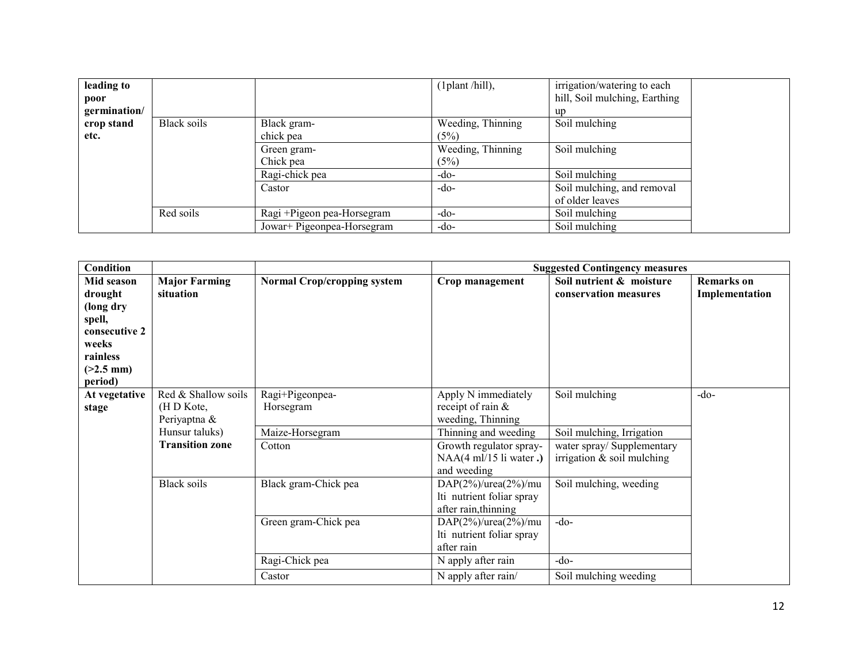| leading to<br>poor |             |                            | (1plant/hill),            | irrigation/watering to each<br>hill, Soil mulching, Earthing |  |
|--------------------|-------------|----------------------------|---------------------------|--------------------------------------------------------------|--|
| germination/       |             |                            |                           | up                                                           |  |
| crop stand<br>etc. | Black soils | Black gram-<br>chick pea   | Weeding, Thinning<br>(5%) | Soil mulching                                                |  |
|                    |             | Green gram-<br>Chick pea   | Weeding, Thinning<br>(5%) | Soil mulching                                                |  |
|                    |             | Ragi-chick pea             | $-do-$                    | Soil mulching                                                |  |
|                    |             | Castor                     | $-do-$                    | Soil mulching, and removal<br>of older leaves                |  |
|                    | Red soils   | Ragi +Pigeon pea-Horsegram | $-do-$                    | Soil mulching                                                |  |
|                    |             | Jowar+ Pigeonpea-Horsegram | $-do-$                    | Soil mulching                                                |  |

| Condition               |                        |                                    |                               | <b>Suggested Contingency measures</b> |                   |
|-------------------------|------------------------|------------------------------------|-------------------------------|---------------------------------------|-------------------|
| Mid season              | <b>Major Farming</b>   | <b>Normal Crop/cropping system</b> | Crop management               | Soil nutrient & moisture              | <b>Remarks</b> on |
| drought                 | situation              |                                    |                               | conservation measures                 | Implementation    |
| (long dry               |                        |                                    |                               |                                       |                   |
| spell,                  |                        |                                    |                               |                                       |                   |
| consecutive 2           |                        |                                    |                               |                                       |                   |
| weeks                   |                        |                                    |                               |                                       |                   |
| rainless<br>$(>2.5$ mm) |                        |                                    |                               |                                       |                   |
| period)                 |                        |                                    |                               |                                       |                   |
| At vegetative           | Red & Shallow soils    | $\overline{R}$ agi+Pigeonpea-      | Apply N immediately           | Soil mulching                         | $-do$             |
| stage                   | (H D Kote,             | Horsegram                          | receipt of rain $\&$          |                                       |                   |
|                         | Periyaptna &           |                                    | weeding, Thinning             |                                       |                   |
|                         | Hunsur taluks)         | Maize-Horsegram                    | Thinning and weeding          | Soil mulching, Irrigation             |                   |
|                         | <b>Transition zone</b> | Cotton                             | Growth regulator spray-       | water spray/ Supplementary            |                   |
|                         |                        |                                    | NAA(4 ml/15 li water.)        | irrigation $&$ soil mulching          |                   |
|                         |                        |                                    | and weeding                   |                                       |                   |
|                         | <b>Black soils</b>     | Black gram-Chick pea               | DAP $(2\%)$ /urea $(2\%)$ /mu | Soil mulching, weeding                |                   |
|                         |                        |                                    | Iti nutrient foliar spray     |                                       |                   |
|                         |                        |                                    | after rain, thinning          |                                       |                   |
|                         |                        | Green gram-Chick pea               | DAP $(2\%)$ /urea $(2\%)$ /mu | $-do-$                                |                   |
|                         |                        |                                    | Iti nutrient foliar spray     |                                       |                   |
|                         |                        |                                    | after rain                    |                                       |                   |
|                         |                        | Ragi-Chick pea                     | N apply after rain            | $-do-$                                |                   |
|                         |                        | Castor                             | N apply after rain/           | Soil mulching weeding                 |                   |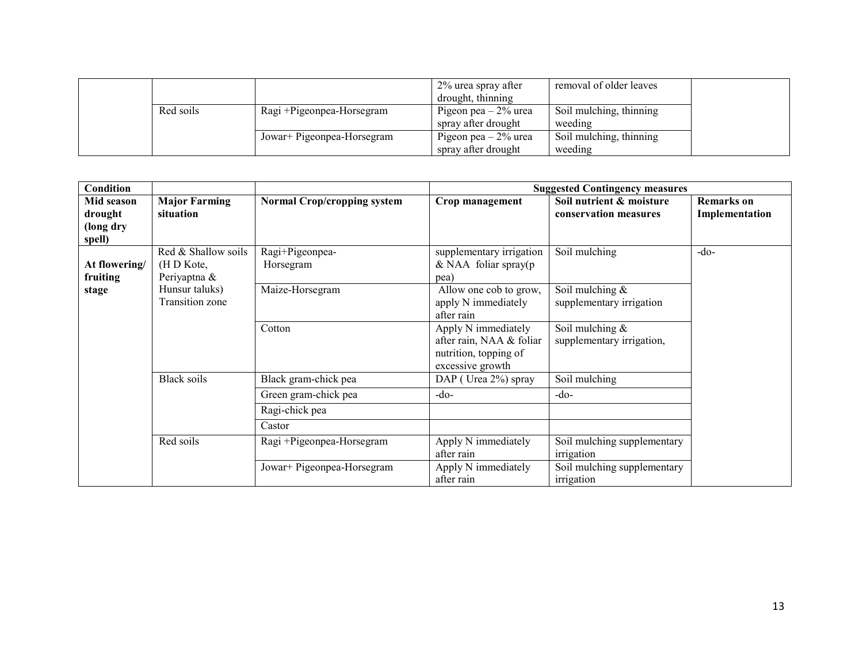|           |                            | 2% urea spray after<br>drought, thinning      | removal of older leaves            |  |
|-----------|----------------------------|-----------------------------------------------|------------------------------------|--|
| Red soils | Ragi + Pigeonpea-Horsegram | Pigeon pea $-2\%$ urea<br>spray after drought | Soil mulching, thinning<br>weeding |  |
|           | Jowar+ Pigeonpea-Horsegram | Pigeon pea $-2\%$ urea<br>spray after drought | Soil mulching, thinning<br>weeding |  |

| <b>Condition</b>                             |                                                   |                                    |                                                                                              | <b>Suggested Contingency measures</b>             |                                     |
|----------------------------------------------|---------------------------------------------------|------------------------------------|----------------------------------------------------------------------------------------------|---------------------------------------------------|-------------------------------------|
| Mid season<br>drought<br>(long dry<br>spell) | <b>Major Farming</b><br>situation                 | <b>Normal Crop/cropping system</b> | Crop management                                                                              | Soil nutrient & moisture<br>conservation measures | <b>Remarks</b> on<br>Implementation |
| At flowering/<br>fruiting                    | Red & Shallow soils<br>(H D Kote,<br>Periyaptna & | Ragi+Pigeonpea-<br>Horsegram       | supplementary irrigation<br>$&$ NAA foliar spray(p<br>pea)                                   | Soil mulching                                     | $-do-$                              |
| stage                                        | Hunsur taluks)<br><b>Transition zone</b>          | Maize-Horsegram                    | Allow one cob to grow,<br>apply N immediately<br>after rain                                  | Soil mulching &<br>supplementary irrigation       |                                     |
|                                              |                                                   | Cotton                             | Apply N immediately<br>after rain, NAA & foliar<br>nutrition, topping of<br>excessive growth | Soil mulching $&$<br>supplementary irrigation,    |                                     |
|                                              | Black soils                                       | Black gram-chick pea               | DAP (Urea 2%) spray                                                                          | Soil mulching                                     |                                     |
|                                              |                                                   | Green gram-chick pea               | $-do-$                                                                                       | $-do-$                                            |                                     |
|                                              |                                                   | Ragi-chick pea                     |                                                                                              |                                                   |                                     |
|                                              |                                                   | Castor                             |                                                                                              |                                                   |                                     |
|                                              | Red soils                                         | Ragi +Pigeonpea-Horsegram          | Apply N immediately<br>after rain                                                            | Soil mulching supplementary<br>irrigation         |                                     |
|                                              |                                                   | Jowar+ Pigeonpea-Horsegram         | Apply N immediately<br>after rain                                                            | Soil mulching supplementary<br>irrigation         |                                     |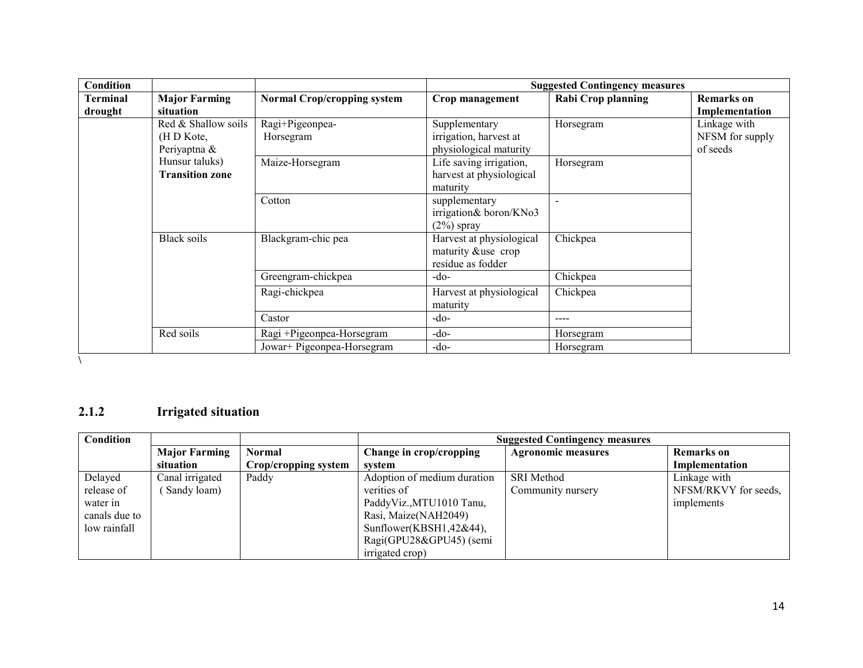| Condition           |                                                   |                                    | <b>Suggested Contingency measures</b>                               |                           |                                             |
|---------------------|---------------------------------------------------|------------------------------------|---------------------------------------------------------------------|---------------------------|---------------------------------------------|
| Terminal<br>drought | <b>Major Farming</b><br>situation                 | <b>Normal Crop/cropping system</b> | Crop management                                                     | <b>Rabi Crop planning</b> | <b>Remarks</b> on<br>Implementation         |
|                     | Red & Shallow soils<br>(H D Kote,<br>Periyaptna & | Ragi+Pigeonpea-<br>Horsegram       | Supplementary<br>irrigation, harvest at<br>physiological maturity   | Horsegram                 | Linkage with<br>NFSM for supply<br>of seeds |
|                     | Hunsur taluks)<br><b>Transition zone</b>          | Maize-Horsegram                    | Life saving irrigation,<br>harvest at physiological<br>maturity     | Horsegram                 |                                             |
|                     |                                                   | Cotton                             | supplementary<br>irrigation& boron/KNo3<br>$(2\%)$ spray            |                           |                                             |
|                     | Black soils                                       | Blackgram-chic pea                 | Harvest at physiological<br>maturity &use crop<br>residue as fodder | Chickpea                  |                                             |
|                     |                                                   | Greengram-chickpea                 | $-do-$                                                              | Chickpea                  |                                             |
|                     |                                                   | Ragi-chickpea                      | Harvest at physiological<br>maturity                                | Chickpea                  |                                             |
|                     |                                                   | Castor                             | $-do-$                                                              | ----                      |                                             |
|                     | Red soils                                         | Ragi +Pigeonpea-Horsegram          | $-do-$                                                              | Horsegram                 |                                             |
|                     |                                                   | Jowar+ Pigeonpea-Horsegram         | $-do-$                                                              | Horsegram                 |                                             |

### 2.1.2 Irrigated situation

| Condition     |                      |                      | <b>Suggested Contingency measures</b> |                           |                      |  |
|---------------|----------------------|----------------------|---------------------------------------|---------------------------|----------------------|--|
|               | <b>Major Farming</b> | <b>Normal</b>        | Change in crop/cropping               | <b>Agronomic measures</b> | <b>Remarks</b> on    |  |
|               | situation            | Crop/cropping system | system                                |                           | Implementation       |  |
| Delayed       | Canal irrigated      | Paddy                | Adoption of medium duration           | <b>SRI</b> Method         | Linkage with         |  |
| release of    | Sandy loam)          |                      | verities of                           | Community nursery         | NFSM/RKVY for seeds, |  |
| water in      |                      |                      | PaddyViz., MTU1010 Tanu,              |                           | implements           |  |
| canals due to |                      |                      | Rasi, Maize(NAH2049)                  |                           |                      |  |
| low rainfall  |                      |                      | Sunflower(KBSH1,42&44),               |                           |                      |  |
|               |                      |                      | Ragi(GPU28&GPU45) (semi               |                           |                      |  |
|               |                      |                      | irrigated crop)                       |                           |                      |  |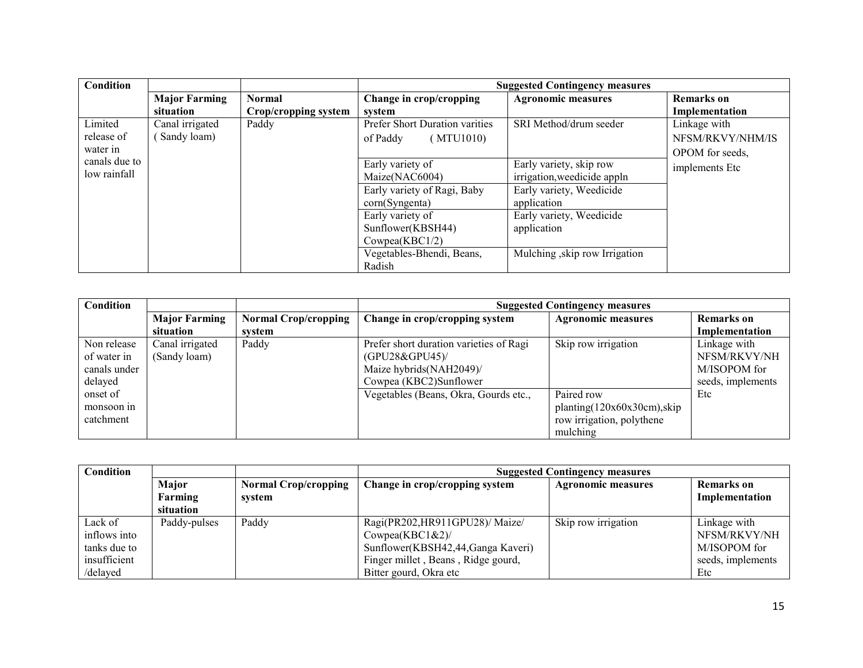| Condition     |                      |                      | <b>Suggested Contingency measures</b> |                              |                   |
|---------------|----------------------|----------------------|---------------------------------------|------------------------------|-------------------|
|               | <b>Major Farming</b> | <b>Normal</b>        | Change in crop/cropping               | <b>Agronomic measures</b>    | <b>Remarks</b> on |
|               | situation            | Crop/cropping system | system                                |                              | Implementation    |
| Limited       | Canal irrigated      | Paddy                | <b>Prefer Short Duration varities</b> | SRI Method/drum seeder       | Linkage with      |
| release of    | Sandy loam)          |                      | (MTU1010)<br>of Paddy                 |                              | NFSM/RKVY/NHM/IS  |
| water in      |                      |                      |                                       |                              | OPOM for seeds,   |
| canals due to |                      |                      | Early variety of                      | Early variety, skip row      | implements Etc    |
| low rainfall  |                      |                      | Maize(NAC6004)                        | irrigation, weedicide appln  |                   |
|               |                      |                      | Early variety of Ragi, Baby           | Early variety, Weedicide     |                   |
|               |                      |                      | corn(Syngenta)                        | application                  |                   |
|               |                      |                      | Early variety of                      | Early variety, Weedicide     |                   |
|               |                      |                      | Sunflower(KBSH44)                     | application                  |                   |
|               |                      |                      | Cowpea(KBC1/2)                        |                              |                   |
|               |                      |                      | Vegetables-Bhendi, Beans,             | Mulching skip row Irrigation |                   |
|               |                      |                      | Radish                                |                              |                   |

| Condition    |                      | <b>Suggested Contingency measures</b> |                                         |                             |                   |
|--------------|----------------------|---------------------------------------|-----------------------------------------|-----------------------------|-------------------|
|              | <b>Major Farming</b> | <b>Normal Crop/cropping</b>           | Change in crop/cropping system          | <b>Agronomic measures</b>   | <b>Remarks</b> on |
|              | situation            | svstem                                |                                         |                             | Implementation    |
| Non release  | Canal irrigated      | Paddy                                 | Prefer short duration varieties of Ragi | Skip row irrigation         | Linkage with      |
| of water in  | (Sandy loam)         |                                       | (GPU28&GPU45)/                          |                             | NFSM/RKVY/NH      |
| canals under |                      |                                       | Maize hybrids(NAH2049)/                 |                             | M/ISOPOM for      |
| delayed      |                      |                                       | Cowpea (KBC2)Sunflower                  |                             | seeds, implements |
| onset of     |                      |                                       | Vegetables (Beans, Okra, Gourds etc.,   | Paired row                  | Etc               |
| monsoon in   |                      |                                       |                                         | planting(120x60x30cm), skip |                   |
| catchment    |                      |                                       |                                         | row irrigation, polythene   |                   |
|              |                      |                                       |                                         | mulching                    |                   |

| Condition    |              | <b>Suggested Contingency measures</b> |                                    |                           |                   |
|--------------|--------------|---------------------------------------|------------------------------------|---------------------------|-------------------|
|              | Major        | <b>Normal Crop/cropping</b>           | Change in crop/cropping system     | <b>Agronomic measures</b> | Remarks on        |
|              | Farming      | system                                |                                    |                           | Implementation    |
|              | situation    |                                       |                                    |                           |                   |
| Lack of      | Paddy-pulses | Paddy                                 | Ragi(PR202, HR911GPU28)/Maize/     | Skip row irrigation       | Linkage with      |
| inflows into |              |                                       | Cowpea(KBC $1&2$ )                 |                           | NFSM/RKVY/NH      |
| tanks due to |              |                                       | Sunflower(KBSH42,44,Ganga Kaveri)  |                           | M/ISOPOM for      |
| insufficient |              |                                       | Finger millet, Beans, Ridge gourd, |                           | seeds, implements |
| /delayed     |              |                                       | Bitter gourd, Okra etc             |                           | Etc               |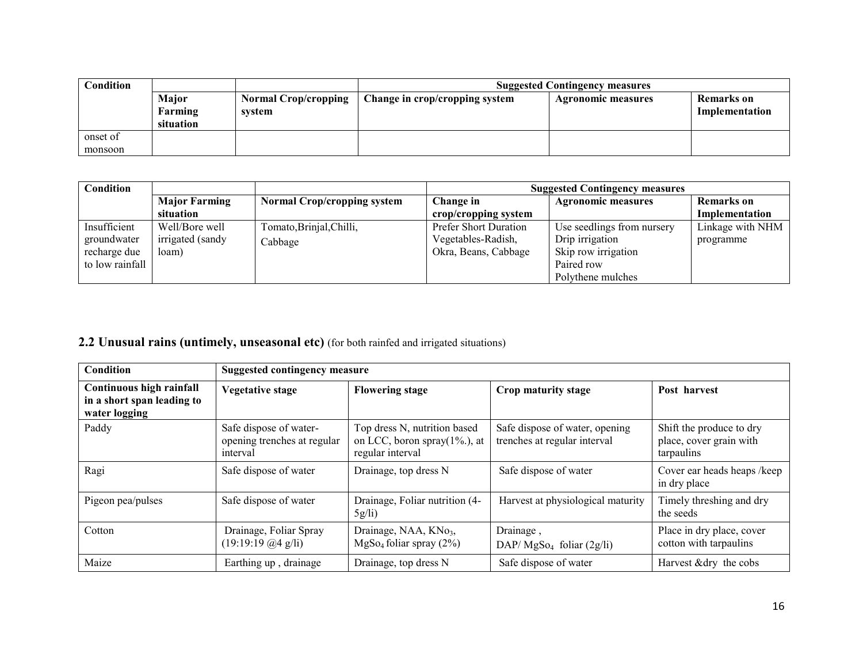| Condition |           | <b>Suggested Contingency measures</b> |                                |                           |                |
|-----------|-----------|---------------------------------------|--------------------------------|---------------------------|----------------|
|           | Major     | <b>Normal Crop/cropping</b>           | Change in crop/cropping system | <b>Agronomic measures</b> | Remarks on     |
|           | Farming   | svstem                                |                                |                           | Implementation |
|           | situation |                                       |                                |                           |                |
| onset of  |           |                                       |                                |                           |                |
| monsoon   |           |                                       |                                |                           |                |

| Condition       |                      |                                    | <b>Suggested Contingency measures</b> |                            |                   |
|-----------------|----------------------|------------------------------------|---------------------------------------|----------------------------|-------------------|
|                 | <b>Major Farming</b> | <b>Normal Crop/cropping system</b> | Change in                             | <b>Agronomic measures</b>  | <b>Remarks</b> on |
|                 | situation            |                                    | crop/cropping system                  |                            | Implementation    |
| Insufficient    | Well/Bore well       | Tomato, Brinjal, Chilli,           | Prefer Short Duration                 | Use seedlings from nursery | Linkage with NHM  |
| groundwater     | irrigated (sandy     | Cabbage                            | Vegetables-Radish,                    | Drip irrigation            | programme         |
| recharge due    | loam)                |                                    | Okra, Beans, Cabbage                  | Skip row irrigation        |                   |
| to low rainfall |                      |                                    |                                       | Paired row                 |                   |
|                 |                      |                                    |                                       | Polythene mulches          |                   |

## 2.2 Unusual rains (untimely, unseasonal etc) (for both rainfed and irrigated situations)

| Condition                                                               | <b>Suggested contingency measure</b>                              |                                                                                      |                                                                |                                                                   |
|-------------------------------------------------------------------------|-------------------------------------------------------------------|--------------------------------------------------------------------------------------|----------------------------------------------------------------|-------------------------------------------------------------------|
| Continuous high rainfall<br>in a short span leading to<br>water logging | <b>Vegetative stage</b>                                           | <b>Flowering stage</b>                                                               | Crop maturity stage                                            | Post harvest                                                      |
| Paddy                                                                   | Safe dispose of water-<br>opening trenches at regular<br>interval | Top dress N, nutrition based<br>on LCC, boron spray $(1\%)$ , at<br>regular interval | Safe dispose of water, opening<br>trenches at regular interval | Shift the produce to dry<br>place, cover grain with<br>tarpaulins |
| Ragi                                                                    | Safe dispose of water                                             | Drainage, top dress N                                                                | Safe dispose of water                                          | Cover ear heads heaps /keep<br>in dry place                       |
| Pigeon pea/pulses                                                       | Safe dispose of water                                             | Drainage, Foliar nutrition (4-<br>$5g$ li)                                           | Harvest at physiological maturity                              | Timely threshing and dry<br>the seeds                             |
| Cotton                                                                  | Drainage, Foliar Spray<br>(19:19:19@4 g/li)                       | Drainage, NAA, KNo <sub>3</sub> ,<br>MgSo <sub>4</sub> foliar spray (2%)             | Drainage,<br>$DAP/MgSo4$ foliar (2g/li)                        | Place in dry place, cover<br>cotton with tarpaulins               |
| Maize                                                                   | Earthing up, drainage                                             | Drainage, top dress N                                                                | Safe dispose of water                                          | Harvest & dry the cobs                                            |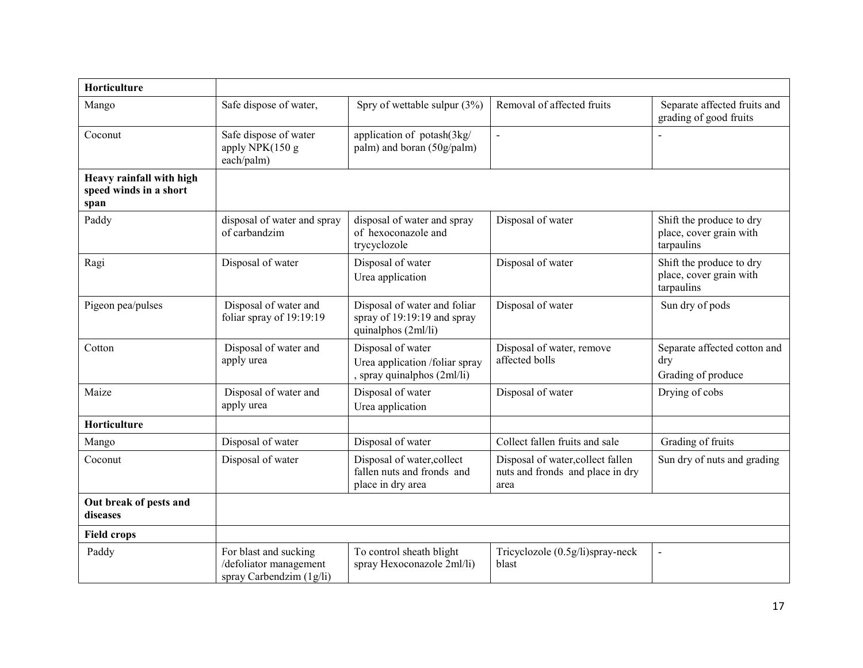| Horticulture                                               |                                                                               |                                                                                    |                                                                               |                                                                   |
|------------------------------------------------------------|-------------------------------------------------------------------------------|------------------------------------------------------------------------------------|-------------------------------------------------------------------------------|-------------------------------------------------------------------|
| Mango                                                      | Safe dispose of water,                                                        | Spry of wettable sulpur $(3%)$                                                     | Removal of affected fruits                                                    | Separate affected fruits and<br>grading of good fruits            |
| Coconut                                                    | Safe dispose of water<br>apply NPK(150 g<br>each/palm)                        | application of potash(3kg/<br>palm) and boran (50g/palm)                           | $\overline{\phantom{a}}$                                                      |                                                                   |
| Heavy rainfall with high<br>speed winds in a short<br>span |                                                                               |                                                                                    |                                                                               |                                                                   |
| Paddy                                                      | disposal of water and spray<br>of carbandzim                                  | disposal of water and spray<br>of hexoconazole and<br>trycyclozole                 | Disposal of water                                                             | Shift the produce to dry<br>place, cover grain with<br>tarpaulins |
| Ragi                                                       | Disposal of water                                                             | Disposal of water<br>Urea application                                              | Disposal of water                                                             | Shift the produce to dry<br>place, cover grain with<br>tarpaulins |
| Pigeon pea/pulses                                          | Disposal of water and<br>foliar spray of 19:19:19                             | Disposal of water and foliar<br>spray of 19:19:19 and spray<br>quinalphos (2ml/li) | Disposal of water                                                             | Sun dry of pods                                                   |
| Cotton                                                     | Disposal of water and<br>apply urea                                           | Disposal of water<br>Urea application /foliar spray<br>, spray quinalphos (2ml/li) | Disposal of water, remove<br>affected bolls                                   | Separate affected cotton and<br>dry<br>Grading of produce         |
| Maize                                                      | Disposal of water and<br>apply urea                                           | Disposal of water<br>Urea application                                              | Disposal of water                                                             | Drying of cobs                                                    |
| Horticulture                                               |                                                                               |                                                                                    |                                                                               |                                                                   |
| Mango                                                      | Disposal of water                                                             | Disposal of water                                                                  | Collect fallen fruits and sale                                                | Grading of fruits                                                 |
| Coconut                                                    | Disposal of water                                                             | Disposal of water, collect<br>fallen nuts and fronds and<br>place in dry area      | Disposal of water, collect fallen<br>nuts and fronds and place in dry<br>area | Sun dry of nuts and grading                                       |
| Out break of pests and<br>diseases                         |                                                                               |                                                                                    |                                                                               |                                                                   |
| <b>Field crops</b>                                         |                                                                               |                                                                                    |                                                                               |                                                                   |
| Paddy                                                      | For blast and sucking<br>/defoliator management<br>spray Carbendzim $(1g/li)$ | To control sheath blight<br>spray Hexoconazole 2ml/li)                             | Tricyclozole (0.5g/li)spray-neck<br>blast                                     | $\blacksquare$                                                    |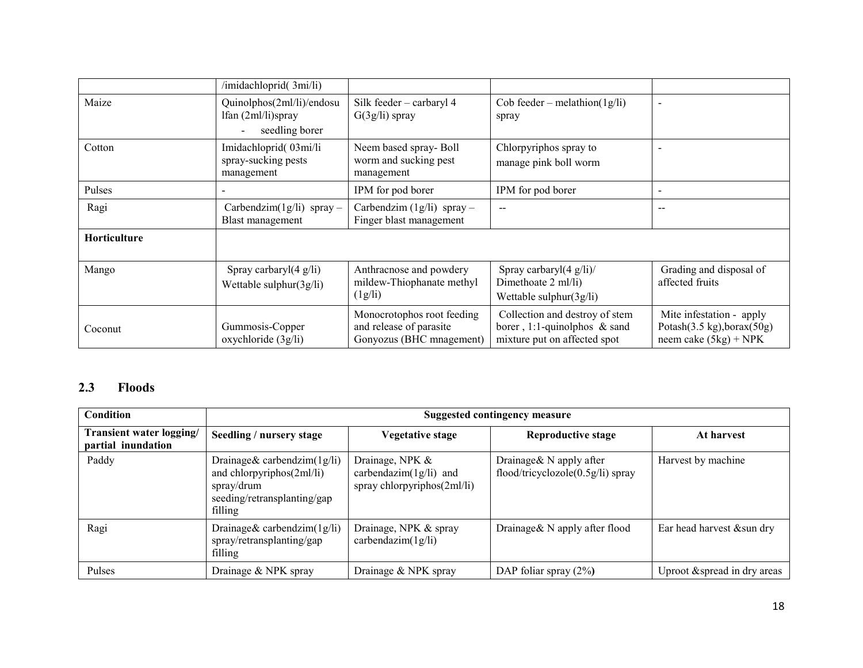|                     | /imidachloprid(3mi/li)                                            |                                                                                   |                                                                                                   |                                                                                   |
|---------------------|-------------------------------------------------------------------|-----------------------------------------------------------------------------------|---------------------------------------------------------------------------------------------------|-----------------------------------------------------------------------------------|
| Maize               | Quinolphos(2ml/li)/endosu<br>lfan (2ml/li)spray<br>seedling borer | Silk feeder - carbaryl 4<br>$G(3g/li)$ spray                                      | Cob feeder – melathion( $1g/li$ )<br>spray                                                        | $\overline{\phantom{a}}$                                                          |
| Cotton              | Imidachloprid(03mi/li<br>spray-sucking pests<br>management        | Neem based spray-Boll<br>worm and sucking pest<br>management                      | Chlorpyriphos spray to<br>manage pink boll worm                                                   |                                                                                   |
| Pulses              |                                                                   | IPM for pod borer                                                                 | IPM for pod borer                                                                                 |                                                                                   |
| Ragi                | Carbendzim $(1g/li)$ spray –<br>Blast management                  | Carbendzim $(1g/li)$ spray -<br>Finger blast management                           | $-$                                                                                               |                                                                                   |
| <b>Horticulture</b> |                                                                   |                                                                                   |                                                                                                   |                                                                                   |
| Mango               | Spray carbaryl $(4 \text{ g/li})$<br>Wettable sulphur(3g/li)      | Anthracnose and powdery<br>mildew-Thiophanate methyl<br>(1g/li)                   | Spray carbaryl $(4 \text{ g}/\text{li})$ /<br>Dimethoate 2 ml/li)<br>Wettable sulphur $(3g/li)$   | Grading and disposal of<br>affected fruits                                        |
| Coconut             | Gummosis-Copper<br>oxychloride (3g/li)                            | Monocrotophos root feeding<br>and release of parasite<br>Gonyozus (BHC mnagement) | Collection and destroy of stem<br>borer, 1:1-quinolphos $\&$ sand<br>mixture put on affected spot | Mite infestation - apply<br>Potash(3.5 kg), borax(50g)<br>neem cake $(5kg)$ + NPK |

### 2.3 Floods

| <b>Condition</b>                                      | <b>Suggested contingency measure</b>                                                                                 |                                                                                |                                                                 |                              |  |
|-------------------------------------------------------|----------------------------------------------------------------------------------------------------------------------|--------------------------------------------------------------------------------|-----------------------------------------------------------------|------------------------------|--|
| <b>Transient water logging/</b><br>partial inundation | Seedling / nursery stage                                                                                             | Vegetative stage                                                               | <b>Reproductive stage</b>                                       | At harvest                   |  |
| Paddy                                                 | Drainage & carbendzim $(1g/li)$<br>and chlorpyriphos(2ml/li)<br>spray/drum<br>seeding/retransplanting/gap<br>filling | Drainage, NPK &<br>carbendazim $(1g/li)$ and<br>spray chlorpyriphos $(2ml/li)$ | Drainage & $N$ apply after<br>flood/tricyclozole(0.5g/li) spray | Harvest by machine           |  |
| Ragi                                                  | Drainage & carbendzim $(1g/li)$<br>spray/retransplanting/gap<br>filling                                              | Drainage, NPK & spray<br>carbendazim $(1g/li)$                                 | Drainage & N apply after flood                                  | Ear head harvest & sun dry   |  |
| Pulses                                                | Drainage & NPK spray                                                                                                 | Drainage & NPK spray                                                           | DAP foliar spray $(2\%)$                                        | Uproot & spread in dry areas |  |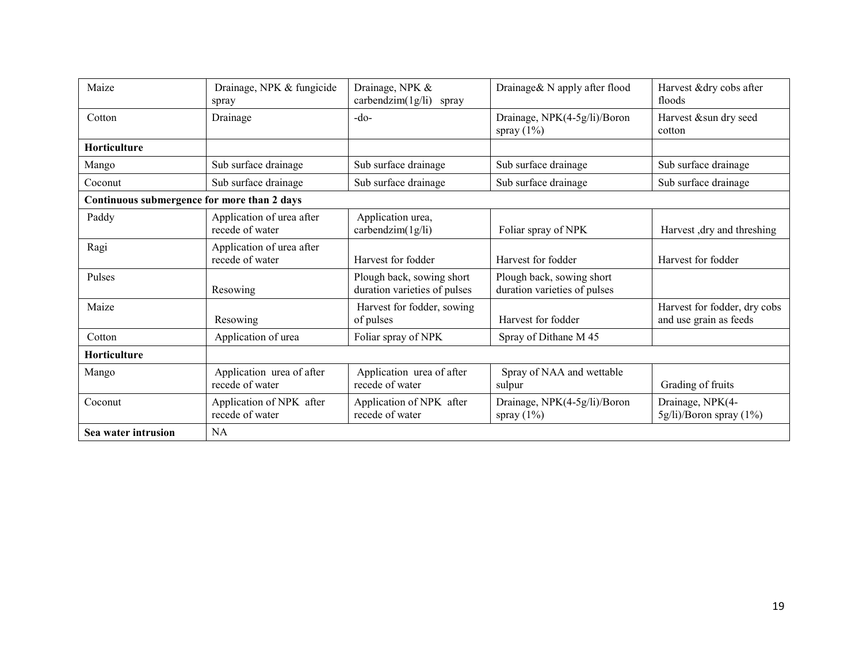| Maize                                       | Drainage, NPK & fungicide<br>spray           | Drainage, NPK &<br>$carbondzim(1g/li)$ spray              | Drainage& N apply after flood                             | Harvest &dry cobs after<br>floods                      |
|---------------------------------------------|----------------------------------------------|-----------------------------------------------------------|-----------------------------------------------------------|--------------------------------------------------------|
| Cotton                                      | Drainage                                     | $-do-$                                                    | Drainage, NPK(4-5g/li)/Boron<br>spray $(1\%)$             | Harvest &sun dry seed<br>cotton                        |
| <b>Horticulture</b>                         |                                              |                                                           |                                                           |                                                        |
| Mango                                       | Sub surface drainage                         | Sub surface drainage                                      | Sub surface drainage                                      | Sub surface drainage                                   |
| Coconut                                     | Sub surface drainage                         | Sub surface drainage                                      | Sub surface drainage                                      | Sub surface drainage                                   |
| Continuous submergence for more than 2 days |                                              |                                                           |                                                           |                                                        |
| Paddy                                       | Application of urea after<br>recede of water | Application urea,<br>carbendzim $(1g/li)$                 | Foliar spray of NPK                                       | Harvest, dry and threshing                             |
| Ragi                                        | Application of urea after<br>recede of water | Harvest for fodder                                        | Harvest for fodder                                        | Harvest for fodder                                     |
| Pulses                                      | Resowing                                     | Plough back, sowing short<br>duration varieties of pulses | Plough back, sowing short<br>duration varieties of pulses |                                                        |
| Maize                                       | Resowing                                     | Harvest for fodder, sowing<br>of pulses                   | Harvest for fodder                                        | Harvest for fodder, dry cobs<br>and use grain as feeds |
| Cotton                                      | Application of urea                          | Foliar spray of NPK                                       | Spray of Dithane M 45                                     |                                                        |
| <b>Horticulture</b>                         |                                              |                                                           |                                                           |                                                        |
| Mango                                       | Application urea of after<br>recede of water | Application urea of after<br>recede of water              | Spray of NAA and wettable<br>sulpur                       | Grading of fruits                                      |
| Coconut                                     | Application of NPK after<br>recede of water  | Application of NPK after<br>recede of water               | Drainage, NPK(4-5g/li)/Boron<br>spray $(1\%)$             | Drainage, NPK(4-<br>$5g\prime$ li)/Boron spray (1%)    |
| Sea water intrusion                         | <b>NA</b>                                    |                                                           |                                                           |                                                        |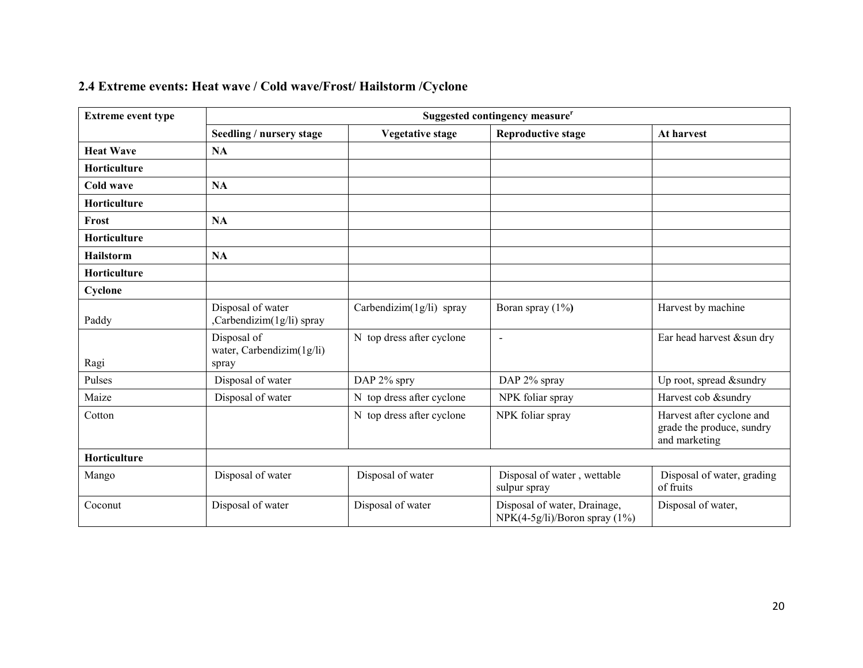|  |  |  | 2.4 Extreme events: Heat wave / Cold wave/Frost/ Hailstorm / Cyclone |
|--|--|--|----------------------------------------------------------------------|
|--|--|--|----------------------------------------------------------------------|

| <b>Extreme event type</b> | Suggested contingency measure <sup>r</sup>        |                           |                                                                   |                                                                         |  |  |
|---------------------------|---------------------------------------------------|---------------------------|-------------------------------------------------------------------|-------------------------------------------------------------------------|--|--|
|                           | Seedling / nursery stage                          | <b>Vegetative stage</b>   | <b>Reproductive stage</b>                                         | At harvest                                                              |  |  |
| <b>Heat Wave</b>          | <b>NA</b>                                         |                           |                                                                   |                                                                         |  |  |
| Horticulture              |                                                   |                           |                                                                   |                                                                         |  |  |
| Cold wave                 | <b>NA</b>                                         |                           |                                                                   |                                                                         |  |  |
| Horticulture              |                                                   |                           |                                                                   |                                                                         |  |  |
| Frost                     | <b>NA</b>                                         |                           |                                                                   |                                                                         |  |  |
| Horticulture              |                                                   |                           |                                                                   |                                                                         |  |  |
| Hailstorm                 | <b>NA</b>                                         |                           |                                                                   |                                                                         |  |  |
| Horticulture              |                                                   |                           |                                                                   |                                                                         |  |  |
| Cyclone                   |                                                   |                           |                                                                   |                                                                         |  |  |
| Paddy                     | Disposal of water<br>,Carbendizim(1g/li) spray    | Carbendizim(1g/li) spray  | Boran spray $(1\%)$                                               | Harvest by machine                                                      |  |  |
| Ragi                      | Disposal of<br>water, Carbendizim(1g/li)<br>spray | N top dress after cyclone | $\blacksquare$                                                    | Ear head harvest & sun dry                                              |  |  |
| Pulses                    | Disposal of water                                 | DAP 2% spry               | DAP 2% spray                                                      | Up root, spread &sundry                                                 |  |  |
| Maize                     | Disposal of water                                 | N top dress after cyclone | NPK foliar spray                                                  | Harvest cob &sundry                                                     |  |  |
| Cotton                    |                                                   | N top dress after cyclone | NPK foliar spray                                                  | Harvest after cyclone and<br>grade the produce, sundry<br>and marketing |  |  |
| Horticulture              |                                                   |                           |                                                                   |                                                                         |  |  |
| Mango                     | Disposal of water                                 | Disposal of water         | Disposal of water, wettable<br>sulpur spray                       | Disposal of water, grading<br>of fruits                                 |  |  |
| Coconut                   | Disposal of water                                 | Disposal of water         | Disposal of water, Drainage,<br>$NPK(4-5g/li)/Boron$ spray $(1%)$ | Disposal of water,                                                      |  |  |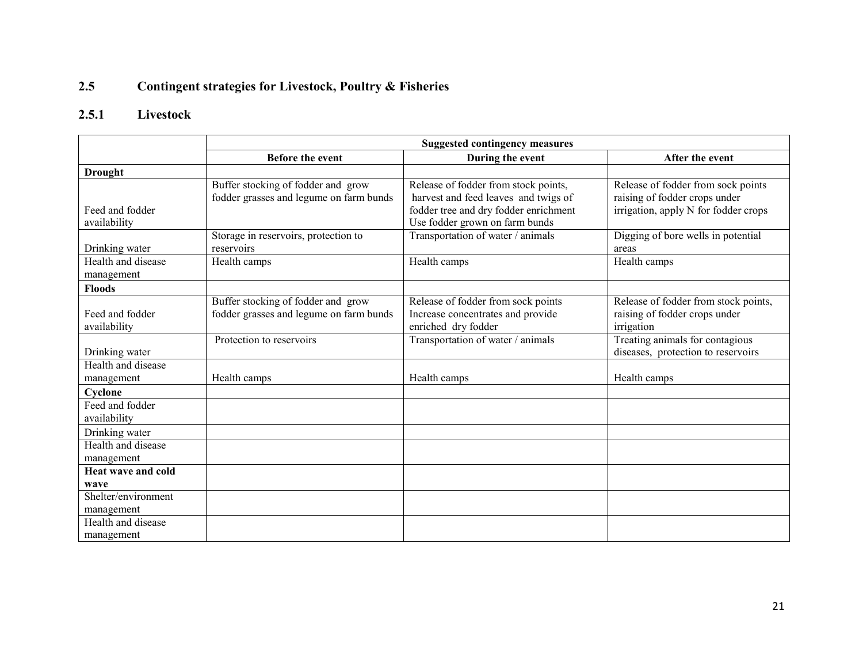#### 2.5Contingent strategies for Livestock, Poultry & Fisheries

#### 2.5.1 Livestock

|                                  | <b>Suggested contingency measures</b>                                         |                                                                                                                                                         |                                                                                                             |  |  |
|----------------------------------|-------------------------------------------------------------------------------|---------------------------------------------------------------------------------------------------------------------------------------------------------|-------------------------------------------------------------------------------------------------------------|--|--|
|                                  | <b>Before the event</b>                                                       | During the event                                                                                                                                        | After the event                                                                                             |  |  |
| <b>Drought</b>                   |                                                                               |                                                                                                                                                         |                                                                                                             |  |  |
| Feed and fodder<br>availability  | Buffer stocking of fodder and grow<br>fodder grasses and legume on farm bunds | Release of fodder from stock points,<br>harvest and feed leaves and twigs of<br>fodder tree and dry fodder enrichment<br>Use fodder grown on farm bunds | Release of fodder from sock points<br>raising of fodder crops under<br>irrigation, apply N for fodder crops |  |  |
| Drinking water                   | Storage in reservoirs, protection to<br>reservoirs                            | Transportation of water / animals                                                                                                                       | Digging of bore wells in potential<br>areas                                                                 |  |  |
| Health and disease<br>management | Health camps                                                                  | Health camps                                                                                                                                            | Health camps                                                                                                |  |  |
| <b>Floods</b>                    |                                                                               |                                                                                                                                                         |                                                                                                             |  |  |
| Feed and fodder<br>availability  | Buffer stocking of fodder and grow<br>fodder grasses and legume on farm bunds | Release of fodder from sock points<br>Increase concentrates and provide<br>enriched dry fodder                                                          | Release of fodder from stock points,<br>raising of fodder crops under<br>irrigation                         |  |  |
| Drinking water                   | Protection to reservoirs                                                      | Transportation of water / animals                                                                                                                       | Treating animals for contagious<br>diseases, protection to reservoirs                                       |  |  |
| Health and disease<br>management | Health camps                                                                  | Health camps                                                                                                                                            | Health camps                                                                                                |  |  |
| Cyclone                          |                                                                               |                                                                                                                                                         |                                                                                                             |  |  |
| Feed and fodder<br>availability  |                                                                               |                                                                                                                                                         |                                                                                                             |  |  |
| Drinking water                   |                                                                               |                                                                                                                                                         |                                                                                                             |  |  |
| Health and disease<br>management |                                                                               |                                                                                                                                                         |                                                                                                             |  |  |
| Heat wave and cold               |                                                                               |                                                                                                                                                         |                                                                                                             |  |  |
| wave                             |                                                                               |                                                                                                                                                         |                                                                                                             |  |  |
| Shelter/environment              |                                                                               |                                                                                                                                                         |                                                                                                             |  |  |
| management                       |                                                                               |                                                                                                                                                         |                                                                                                             |  |  |
| Health and disease<br>management |                                                                               |                                                                                                                                                         |                                                                                                             |  |  |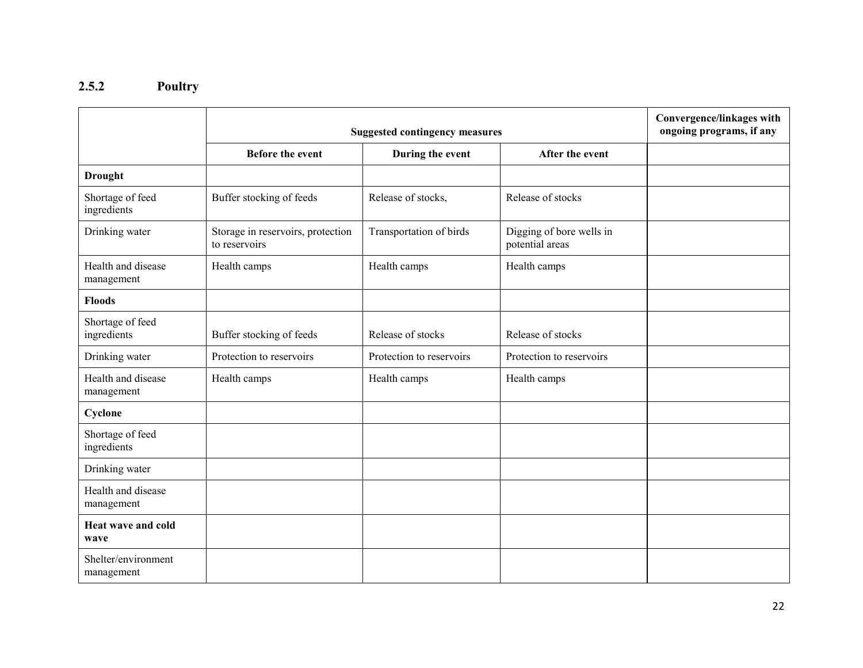#### 2.5.2 Poultry

|                                   | <b>Suggested contingency measures</b>              |                          |                                             | Convergence/linkages with<br>ongoing programs, if any |
|-----------------------------------|----------------------------------------------------|--------------------------|---------------------------------------------|-------------------------------------------------------|
|                                   | <b>Before the event</b>                            | During the event         | After the event                             |                                                       |
| <b>Drought</b>                    |                                                    |                          |                                             |                                                       |
| Shortage of feed<br>ingredients   | Buffer stocking of feeds                           | Release of stocks,       | Release of stocks                           |                                                       |
| Drinking water                    | Storage in reservoirs, protection<br>to reservoirs | Transportation of birds  | Digging of bore wells in<br>potential areas |                                                       |
| Health and disease<br>management  | Health camps                                       | Health camps             | Health camps                                |                                                       |
| <b>Floods</b>                     |                                                    |                          |                                             |                                                       |
| Shortage of feed<br>ingredients   | Buffer stocking of feeds                           | Release of stocks        | Release of stocks                           |                                                       |
| Drinking water                    | Protection to reservoirs                           | Protection to reservoirs | Protection to reservoirs                    |                                                       |
| Health and disease<br>management  | Health camps                                       | Health camps             | Health camps                                |                                                       |
| Cyclone                           |                                                    |                          |                                             |                                                       |
| Shortage of feed<br>ingredients   |                                                    |                          |                                             |                                                       |
| Drinking water                    |                                                    |                          |                                             |                                                       |
| Health and disease<br>management  |                                                    |                          |                                             |                                                       |
| Heat wave and cold<br>wave        |                                                    |                          |                                             |                                                       |
| Shelter/environment<br>management |                                                    |                          |                                             |                                                       |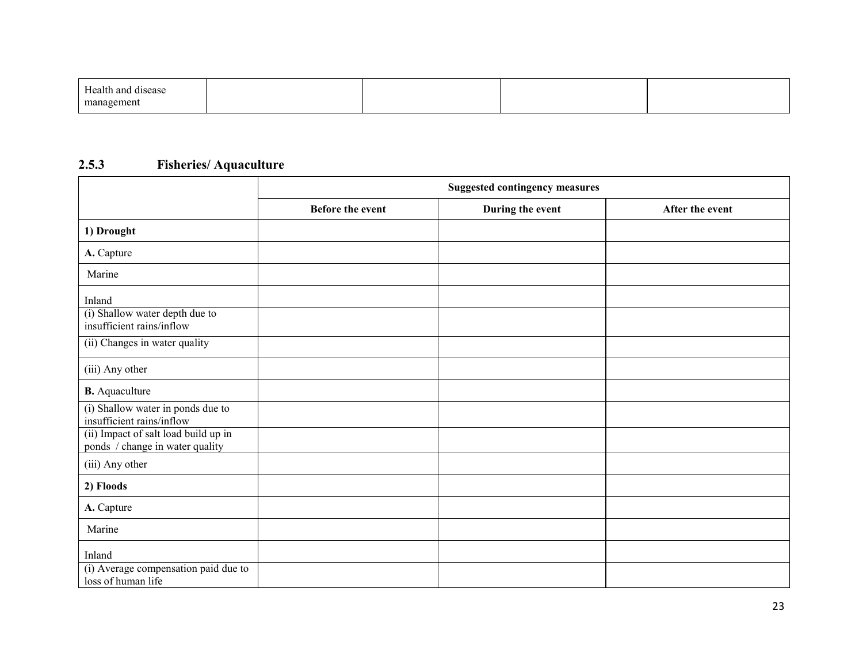| Health and disease |  |  |
|--------------------|--|--|
| management<br>пини |  |  |

#### 2.5.3 Fisheries/ Aquaculture

|                                                                         | <b>Suggested contingency measures</b> |                  |                 |
|-------------------------------------------------------------------------|---------------------------------------|------------------|-----------------|
|                                                                         | <b>Before the event</b>               | During the event | After the event |
| 1) Drought                                                              |                                       |                  |                 |
| A. Capture                                                              |                                       |                  |                 |
| Marine                                                                  |                                       |                  |                 |
| Inland<br>(i) Shallow water depth due to                                |                                       |                  |                 |
| insufficient rains/inflow                                               |                                       |                  |                 |
| (ii) Changes in water quality                                           |                                       |                  |                 |
| (iii) Any other                                                         |                                       |                  |                 |
| <b>B.</b> Aquaculture                                                   |                                       |                  |                 |
| (i) Shallow water in ponds due to<br>insufficient rains/inflow          |                                       |                  |                 |
| (ii) Impact of salt load build up in<br>ponds / change in water quality |                                       |                  |                 |
| (iii) Any other                                                         |                                       |                  |                 |
| 2) Floods                                                               |                                       |                  |                 |
| A. Capture                                                              |                                       |                  |                 |
| Marine                                                                  |                                       |                  |                 |
| Inland                                                                  |                                       |                  |                 |
| (i) Average compensation paid due to<br>loss of human life              |                                       |                  |                 |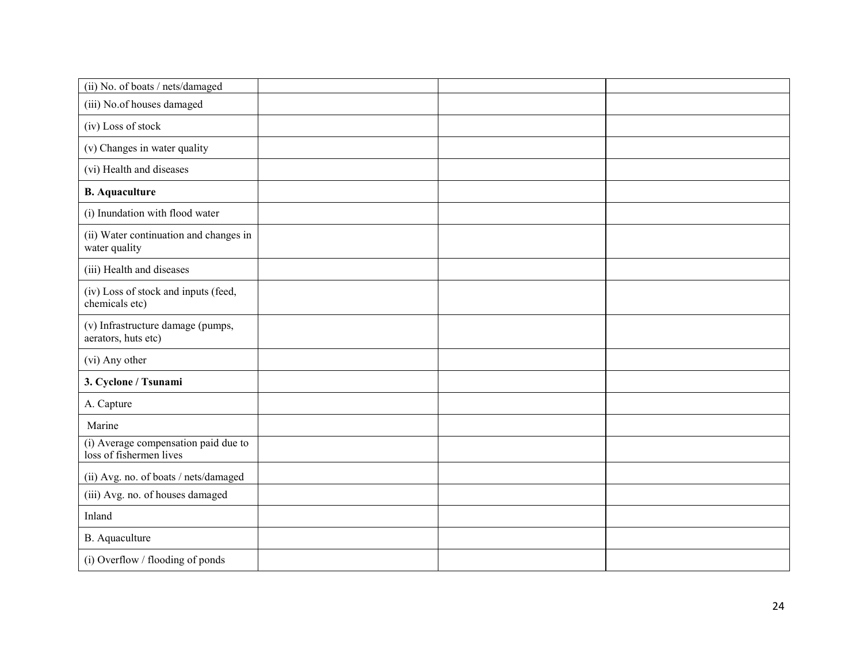| (ii) No. of boats / nets/damaged                                |  |  |
|-----------------------------------------------------------------|--|--|
| (iii) No.of houses damaged                                      |  |  |
| (iv) Loss of stock                                              |  |  |
| (v) Changes in water quality                                    |  |  |
| (vi) Health and diseases                                        |  |  |
| <b>B.</b> Aquaculture                                           |  |  |
| (i) Inundation with flood water                                 |  |  |
| (ii) Water continuation and changes in<br>water quality         |  |  |
| (iii) Health and diseases                                       |  |  |
| (iv) Loss of stock and inputs (feed,<br>chemicals etc)          |  |  |
| (v) Infrastructure damage (pumps,<br>aerators, huts etc)        |  |  |
| (vi) Any other                                                  |  |  |
| 3. Cyclone / Tsunami                                            |  |  |
| A. Capture                                                      |  |  |
| Marine                                                          |  |  |
| (i) Average compensation paid due to<br>loss of fishermen lives |  |  |
| (ii) Avg. no. of boats / nets/damaged                           |  |  |
| (iii) Avg. no. of houses damaged                                |  |  |
| Inland                                                          |  |  |
| B. Aquaculture                                                  |  |  |
| (i) Overflow / flooding of ponds                                |  |  |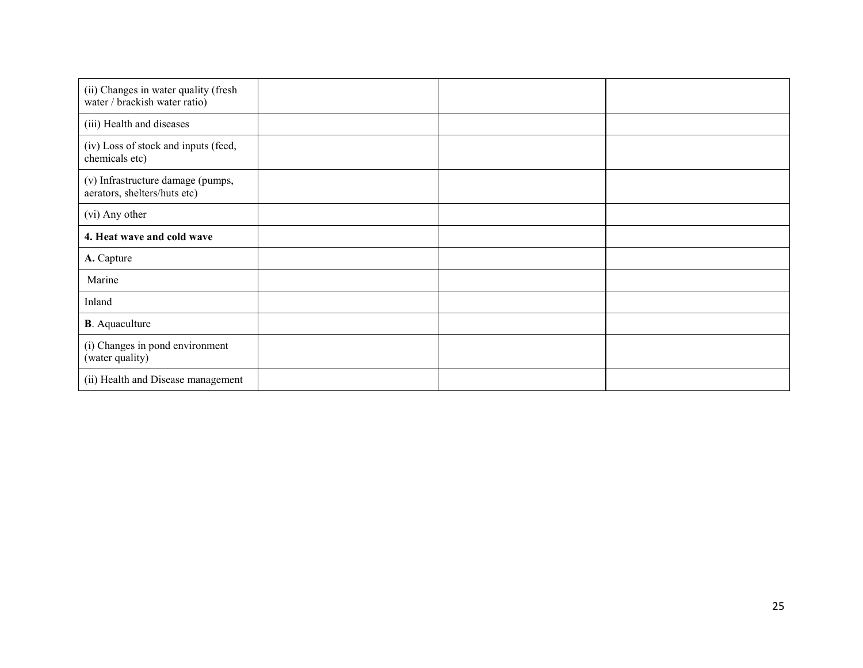| (ii) Changes in water quality (fresh<br>water / brackish water ratio) |  |  |
|-----------------------------------------------------------------------|--|--|
| (iii) Health and diseases                                             |  |  |
| (iv) Loss of stock and inputs (feed,<br>chemicals etc)                |  |  |
| (v) Infrastructure damage (pumps,<br>aerators, shelters/huts etc)     |  |  |
| (vi) Any other                                                        |  |  |
| 4. Heat wave and cold wave                                            |  |  |
| A. Capture                                                            |  |  |
| Marine                                                                |  |  |
| Inland                                                                |  |  |
| <b>B</b> . Aquaculture                                                |  |  |
| (i) Changes in pond environment<br>(water quality)                    |  |  |
| (ii) Health and Disease management                                    |  |  |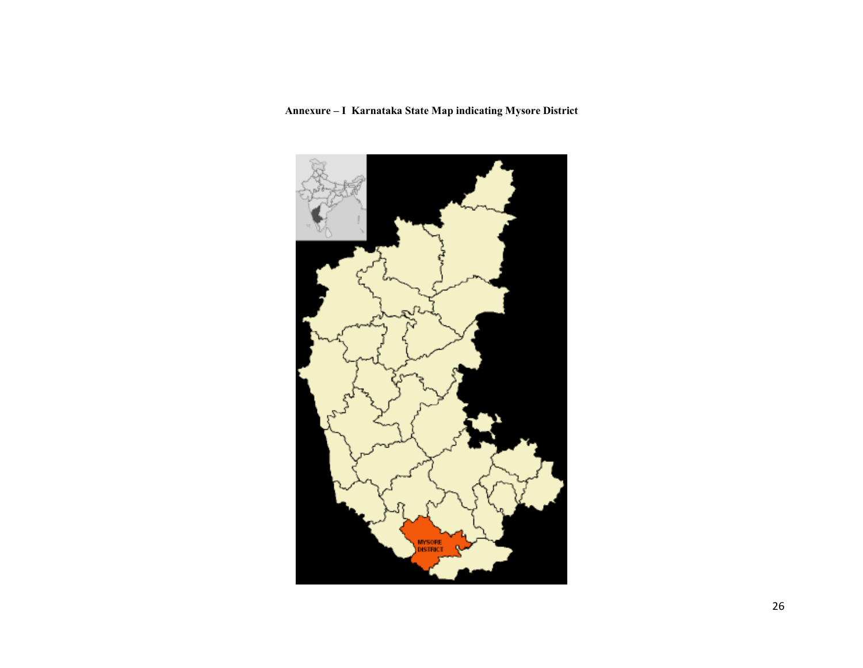## Annexure – I Karnataka State Map indicating Mysore District

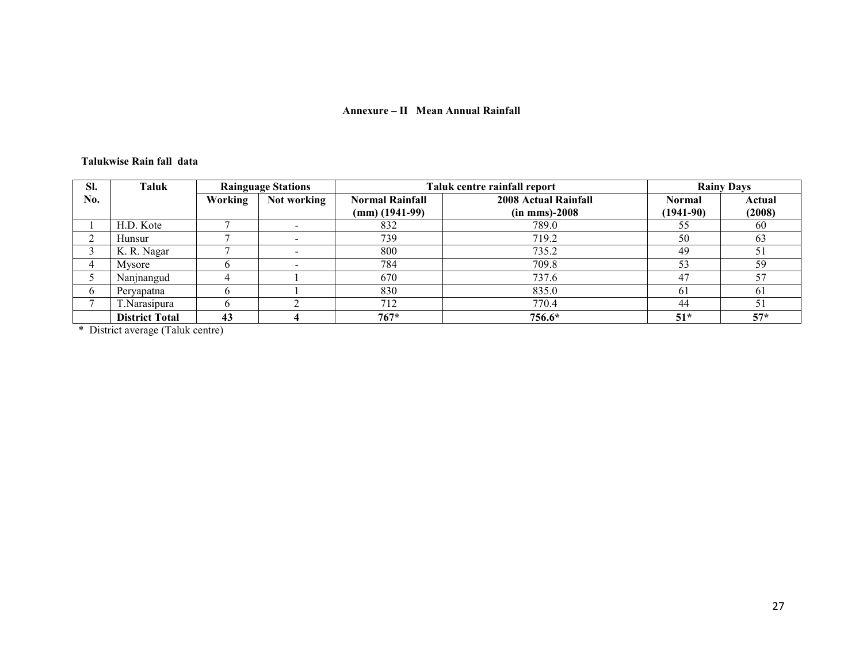#### Annexure – II Mean Annual Rainfall

#### Talukwise Rain fall data

| SI. | Taluk                 | <b>Rainguage Stations</b> |             | Taluk centre rainfall report |                             | <b>Rainy Days</b> |        |
|-----|-----------------------|---------------------------|-------------|------------------------------|-----------------------------|-------------------|--------|
| No. |                       | Working                   | Not working | <b>Normal Rainfall</b>       | <b>2008 Actual Rainfall</b> | <b>Normal</b>     | Actual |
|     |                       |                           |             | $(mm)$ (1941-99)             | $(in$ mms $)-2008$          | $(1941-90)$       | (2008) |
|     | H.D. Kote             |                           |             | 832                          | 789.0                       | 55                | 60     |
|     | Hunsur                |                           |             | 739                          | 719.2                       | 50                | 63     |
|     | K. R. Nagar           |                           |             | 800                          | 735.2                       | 49                | 51     |
| 4   | Mysore                |                           |             | 784                          | 709.8                       | 53                | 59     |
|     | Nanjnangud            |                           |             | 670                          | 737.6                       | 47                | 57     |
| 6   | Peryapatna            |                           |             | 830                          | 835.0                       | 61                | 61     |
|     | Narasipura            |                           |             | 712                          | 770.4                       | 44                | 51     |
|     | <b>District Total</b> | 43                        |             | $767*$                       | 756.6*                      | $51*$             | $57*$  |

\* District average (Taluk centre)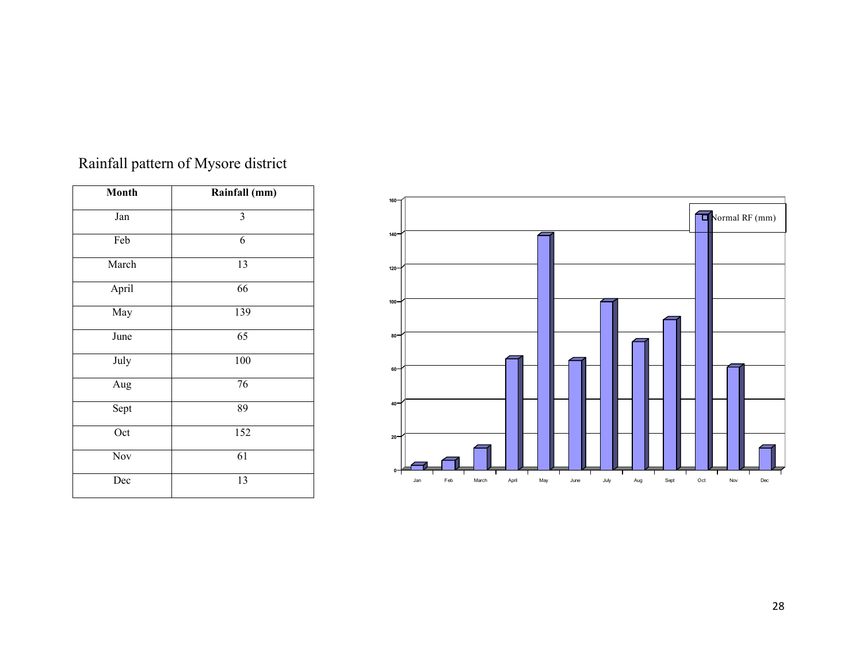| <b>Month</b> | Rainfall (mm) |
|--------------|---------------|
| Jan          | 3             |
| Feb          | 6             |
| March        | 13            |
| April        | 66            |
| May          | 139           |
| June         | 65            |
| July         | 100           |
| Aug          | 76            |
| Sept         | 89            |
| Oct          | 152           |
| Nov          | 61            |
| Dec          | 13            |